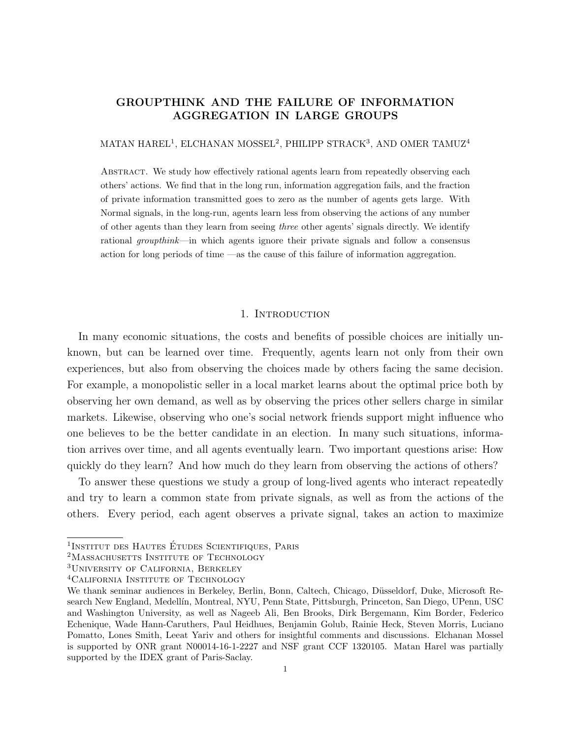# GROUPTHINK AND THE FAILURE OF INFORMATION AGGREGATION IN LARGE GROUPS

### MATAN HAREL<sup>1</sup>, ELCHANAN MOSSEL<sup>2</sup>, PHILIPP STRACK<sup>3</sup>, AND OMER TAMUZ<sup>4</sup>

Abstract. We study how effectively rational agents learn from repeatedly observing each others' actions. We find that in the long run, information aggregation fails, and the fraction of private information transmitted goes to zero as the number of agents gets large. With Normal signals, in the long-run, agents learn less from observing the actions of any number of other agents than they learn from seeing three other agents' signals directly. We identify rational groupthink—in which agents ignore their private signals and follow a consensus action for long periods of time —as the cause of this failure of information aggregation.

### 1. INTRODUCTION

In many economic situations, the costs and benefits of possible choices are initially unknown, but can be learned over time. Frequently, agents learn not only from their own experiences, but also from observing the choices made by others facing the same decision. For example, a monopolistic seller in a local market learns about the optimal price both by observing her own demand, as well as by observing the prices other sellers charge in similar markets. Likewise, observing who one's social network friends support might influence who one believes to be the better candidate in an election. In many such situations, information arrives over time, and all agents eventually learn. Two important questions arise: How quickly do they learn? And how much do they learn from observing the actions of others?

To answer these questions we study a group of long-lived agents who interact repeatedly and try to learn a common state from private signals, as well as from the actions of the others. Every period, each agent observes a private signal, takes an action to maximize

<sup>&</sup>lt;sup>1</sup>Institut des Hautes Études Scientifiques, Paris

<sup>&</sup>lt;sup>2</sup>MASSACHUSETTS INSTITUTE OF TECHNOLOGY

<sup>&</sup>lt;sup>3</sup>UNIVERSITY OF CALIFORNIA, BERKELEY

<sup>&</sup>lt;sup>4</sup>CALIFORNIA INSTITUTE OF TECHNOLOGY

We thank seminar audiences in Berkeley, Berlin, Bonn, Caltech, Chicago, Düsseldorf, Duke, Microsoft Research New England, Medell´ın, Montreal, NYU, Penn State, Pittsburgh, Princeton, San Diego, UPenn, USC and Washington University, as well as Nageeb Ali, Ben Brooks, Dirk Bergemann, Kim Border, Federico Echenique, Wade Hann-Caruthers, Paul Heidhues, Benjamin Golub, Rainie Heck, Steven Morris, Luciano Pomatto, Lones Smith, Leeat Yariv and others for insightful comments and discussions. Elchanan Mossel is supported by ONR grant N00014-16-1-2227 and NSF grant CCF 1320105. Matan Harel was partially supported by the IDEX grant of Paris-Saclay.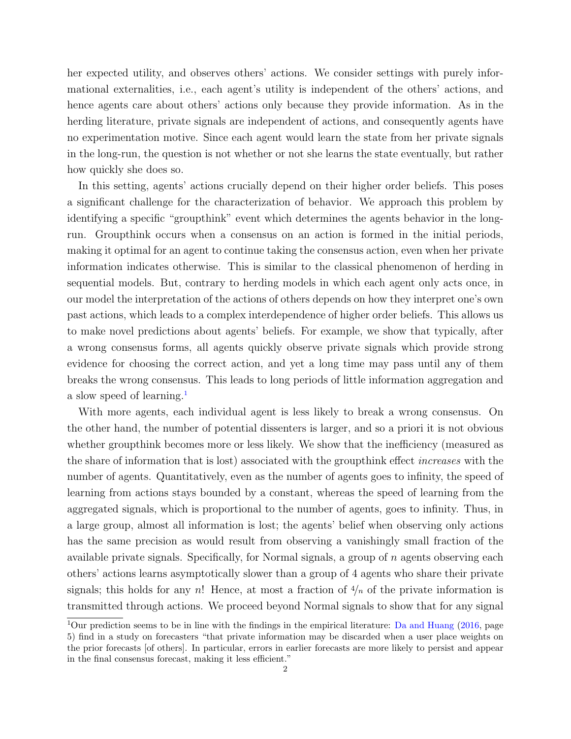her expected utility, and observes others' actions. We consider settings with purely informational externalities, i.e., each agent's utility is independent of the others' actions, and hence agents care about others' actions only because they provide information. As in the herding literature, private signals are independent of actions, and consequently agents have no experimentation motive. Since each agent would learn the state from her private signals in the long-run, the question is not whether or not she learns the state eventually, but rather how quickly she does so.

In this setting, agents' actions crucially depend on their higher order beliefs. This poses a significant challenge for the characterization of behavior. We approach this problem by identifying a specific "groupthink" event which determines the agents behavior in the longrun. Groupthink occurs when a consensus on an action is formed in the initial periods, making it optimal for an agent to continue taking the consensus action, even when her private information indicates otherwise. This is similar to the classical phenomenon of herding in sequential models. But, contrary to herding models in which each agent only acts once, in our model the interpretation of the actions of others depends on how they interpret one's own past actions, which leads to a complex interdependence of higher order beliefs. This allows us to make novel predictions about agents' beliefs. For example, we show that typically, after a wrong consensus forms, all agents quickly observe private signals which provide strong evidence for choosing the correct action, and yet a long time may pass until any of them breaks the wrong consensus. This leads to long periods of little information aggregation and a slow speed of learning.<sup>[1](#page-1-0)</sup>

With more agents, each individual agent is less likely to break a wrong consensus. On the other hand, the number of potential dissenters is larger, and so a priori it is not obvious whether groupthink becomes more or less likely. We show that the inefficiency (measured as the share of information that is lost) associated with the groupthink effect increases with the number of agents. Quantitatively, even as the number of agents goes to infinity, the speed of learning from actions stays bounded by a constant, whereas the speed of learning from the aggregated signals, which is proportional to the number of agents, goes to infinity. Thus, in a large group, almost all information is lost; the agents' belief when observing only actions has the same precision as would result from observing a vanishingly small fraction of the available private signals. Specifically, for Normal signals, a group of n agents observing each others' actions learns asymptotically slower than a group of 4 agents who share their private signals; this holds for any n! Hence, at most a fraction of  $\frac{4}{n}$  of the private information is transmitted through actions. We proceed beyond Normal signals to show that for any signal

<span id="page-1-0"></span><sup>&</sup>lt;sup>1</sup>Our prediction seems to be in line with the findings in the empirical literature: [Da and Huang](#page-17-0) [\(2016,](#page-17-0) page 5) find in a study on forecasters "that private information may be discarded when a user place weights on the prior forecasts [of others]. In particular, errors in earlier forecasts are more likely to persist and appear in the final consensus forecast, making it less efficient."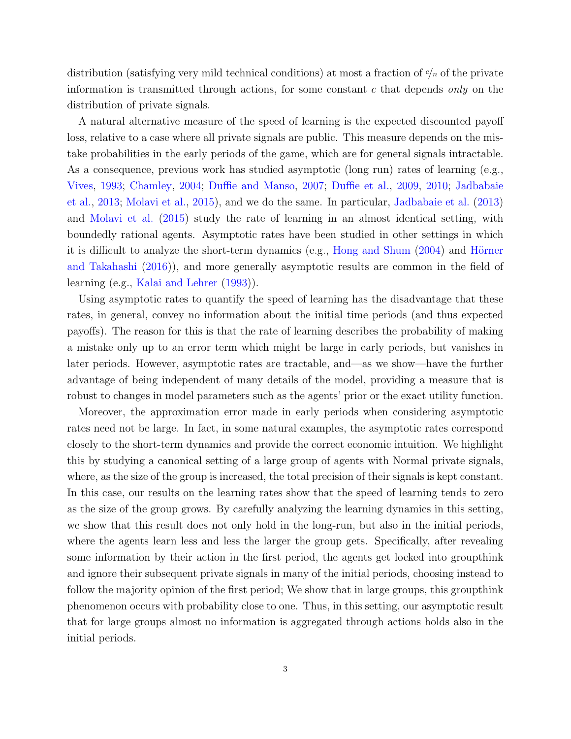distribution (satisfying very mild technical conditions) at most a fraction of  $\gamma_n$  of the private information is transmitted through actions, for some constant c that depends only on the distribution of private signals.

A natural alternative measure of the speed of learning is the expected discounted payoff loss, relative to a case where all private signals are public. This measure depends on the mistake probabilities in the early periods of the game, which are for general signals intractable. As a consequence, previous work has studied asymptotic (long run) rates of learning (e.g., [Vives,](#page-18-0) [1993;](#page-18-0) [Chamley,](#page-17-1) [2004;](#page-17-1) [Duffie and Manso,](#page-17-2) [2007;](#page-17-2) [Duffie et al.,](#page-17-3) [2009,](#page-17-3) [2010;](#page-17-4) [Jadbabaie](#page-18-1) [et al.,](#page-18-1) [2013;](#page-18-1) [Molavi et al.,](#page-18-2) [2015\)](#page-18-2), and we do the same. In particular, [Jadbabaie et al.](#page-18-1) [\(2013\)](#page-18-1) and [Molavi et al.](#page-18-2) [\(2015\)](#page-18-2) study the rate of learning in an almost identical setting, with boundedly rational agents. Asymptotic rates have been studied in other settings in which it is difficult to analyze the short-term dynamics (e.g., [Hong and Shum](#page-17-5)  $(2004)$ ) and Hörner [and Takahashi](#page-18-3) [\(2016\)](#page-18-3)), and more generally asymptotic results are common in the field of learning (e.g., [Kalai and Lehrer](#page-18-4) [\(1993\)](#page-18-4)).

Using asymptotic rates to quantify the speed of learning has the disadvantage that these rates, in general, convey no information about the initial time periods (and thus expected payoffs). The reason for this is that the rate of learning describes the probability of making a mistake only up to an error term which might be large in early periods, but vanishes in later periods. However, asymptotic rates are tractable, and—as we show—have the further advantage of being independent of many details of the model, providing a measure that is robust to changes in model parameters such as the agents' prior or the exact utility function.

Moreover, the approximation error made in early periods when considering asymptotic rates need not be large. In fact, in some natural examples, the asymptotic rates correspond closely to the short-term dynamics and provide the correct economic intuition. We highlight this by studying a canonical setting of a large group of agents with Normal private signals, where, as the size of the group is increased, the total precision of their signals is kept constant. In this case, our results on the learning rates show that the speed of learning tends to zero as the size of the group grows. By carefully analyzing the learning dynamics in this setting, we show that this result does not only hold in the long-run, but also in the initial periods, where the agents learn less and less the larger the group gets. Specifically, after revealing some information by their action in the first period, the agents get locked into groupthink and ignore their subsequent private signals in many of the initial periods, choosing instead to follow the majority opinion of the first period; We show that in large groups, this groupthink phenomenon occurs with probability close to one. Thus, in this setting, our asymptotic result that for large groups almost no information is aggregated through actions holds also in the initial periods.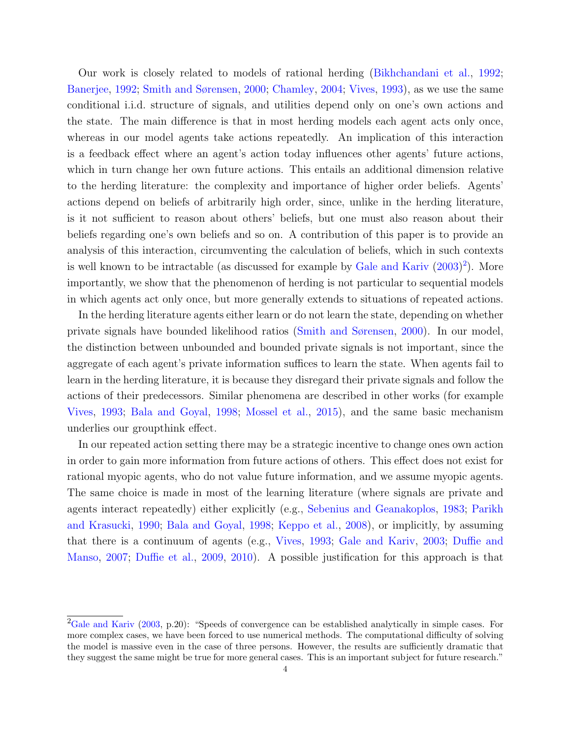Our work is closely related to models of rational herding [\(Bikhchandani et al.,](#page-17-6) [1992;](#page-17-6) [Banerjee,](#page-17-7) [1992;](#page-17-7) [Smith and Sørensen,](#page-18-5) [2000;](#page-18-5) [Chamley,](#page-17-1) [2004;](#page-17-1) [Vives,](#page-18-0) [1993\)](#page-18-0), as we use the same conditional i.i.d. structure of signals, and utilities depend only on one's own actions and the state. The main difference is that in most herding models each agent acts only once, whereas in our model agents take actions repeatedly. An implication of this interaction is a feedback effect where an agent's action today influences other agents' future actions, which in turn change her own future actions. This entails an additional dimension relative to the herding literature: the complexity and importance of higher order beliefs. Agents' actions depend on beliefs of arbitrarily high order, since, unlike in the herding literature, is it not sufficient to reason about others' beliefs, but one must also reason about their beliefs regarding one's own beliefs and so on. A contribution of this paper is to provide an analysis of this interaction, circumventing the calculation of beliefs, which in such contexts is well known to be intractable (as discussed for example by [Gale and Kariv](#page-17-8) [\(2003\)](#page-17-8) [2](#page-3-0) ). More importantly, we show that the phenomenon of herding is not particular to sequential models in which agents act only once, but more generally extends to situations of repeated actions.

In the herding literature agents either learn or do not learn the state, depending on whether private signals have bounded likelihood ratios [\(Smith and Sørensen,](#page-18-5) [2000\)](#page-18-5). In our model, the distinction between unbounded and bounded private signals is not important, since the aggregate of each agent's private information suffices to learn the state. When agents fail to learn in the herding literature, it is because they disregard their private signals and follow the actions of their predecessors. Similar phenomena are described in other works (for example [Vives,](#page-18-0) [1993;](#page-18-0) [Bala and Goyal,](#page-17-9) [1998;](#page-17-9) [Mossel et al.,](#page-18-6) [2015\)](#page-18-6), and the same basic mechanism underlies our groupthink effect.

In our repeated action setting there may be a strategic incentive to change ones own action in order to gain more information from future actions of others. This effect does not exist for rational myopic agents, who do not value future information, and we assume myopic agents. The same choice is made in most of the learning literature (where signals are private and agents interact repeatedly) either explicitly (e.g., [Sebenius and Geanakoplos,](#page-18-7) [1983;](#page-18-7) [Parikh](#page-18-8) [and Krasucki,](#page-18-8) [1990;](#page-18-8) [Bala and Goyal,](#page-17-9) [1998;](#page-17-9) [Keppo et al.,](#page-18-9) [2008\)](#page-18-9), or implicitly, by assuming that there is a continuum of agents (e.g., [Vives,](#page-18-0) [1993;](#page-18-0) [Gale and Kariv,](#page-17-8) [2003;](#page-17-8) [Duffie and](#page-17-2) [Manso,](#page-17-2) [2007;](#page-17-2) [Duffie et al.,](#page-17-3) [2009,](#page-17-3) [2010\)](#page-17-4). A possible justification for this approach is that

<span id="page-3-0"></span> ${}^{2}$ [Gale and Kariv](#page-17-8) [\(2003,](#page-17-8) p.20): "Speeds of convergence can be established analytically in simple cases. For more complex cases, we have been forced to use numerical methods. The computational difficulty of solving the model is massive even in the case of three persons. However, the results are sufficiently dramatic that they suggest the same might be true for more general cases. This is an important subject for future research."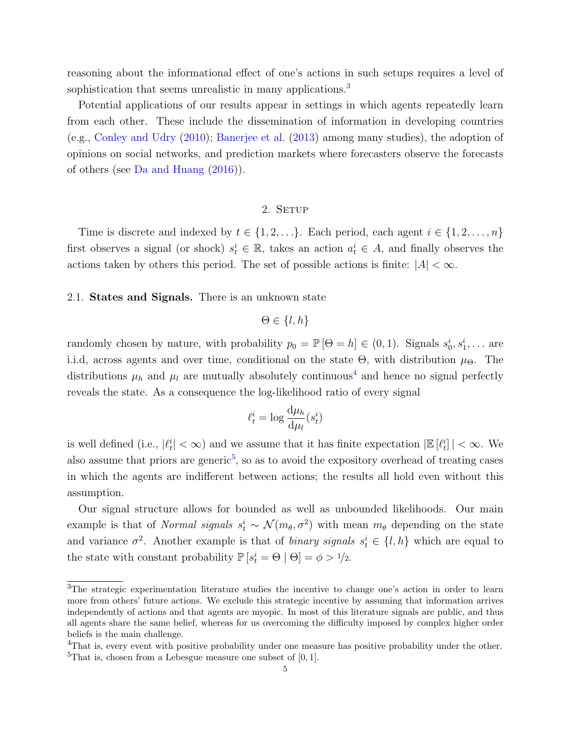reasoning about the informational effect of one's actions in such setups requires a level of sophistication that seems unrealistic in many applications.<sup>[3](#page-4-0)</sup>

Potential applications of our results appear in settings in which agents repeatedly learn from each other. These include the dissemination of information in developing countries (e.g., [Conley and Udry](#page-17-10) [\(2010\)](#page-17-10); [Banerjee et al.](#page-17-11) [\(2013\)](#page-17-11) among many studies), the adoption of opinions on social networks, and prediction markets where forecasters observe the forecasts of others (see [Da and Huang](#page-17-0) [\(2016\)](#page-17-0)).

## 2. SETUP

Time is discrete and indexed by  $t \in \{1, 2, \ldots\}$ . Each period, each agent  $i \in \{1, 2, \ldots, n\}$ first observes a signal (or shock)  $s_t^i \in \mathbb{R}$ , takes an action  $a_t^i \in A$ , and finally observes the actions taken by others this period. The set of possible actions is finite:  $|A| < \infty$ .

### 2.1. States and Signals. There is an unknown state

$$
\Theta \in \{l, h\}
$$

randomly chosen by nature, with probability  $p_0 = \mathbb{P}[\Theta = h] \in (0, 1)$ . Signals  $s_0^i, s_1^i, \ldots$  are i.i.d, across agents and over time, conditional on the state  $\Theta$ , with distribution  $\mu_{\Theta}$ . The distributions  $\mu_h$  and  $\mu_l$  are mutually absolutely continuous<sup>[4](#page-4-1)</sup> and hence no signal perfectly reveals the state. As a consequence the log-likelihood ratio of every signal

$$
\ell_t^i = \log \frac{\mathrm{d} \mu_h}{\mathrm{d} \mu_l} (s_t^i)
$$

is well defined (i.e.,  $|\ell_t^i| < \infty$ ) and we assume that it has finite expectation  $|\mathbb{E}[\ell_t^i]| < \infty$ . We also assume that priors are generic<sup>[5](#page-4-2)</sup>, so as to avoid the expository overhead of treating cases in which the agents are indifferent between actions; the results all hold even without this assumption.

Our signal structure allows for bounded as well as unbounded likelihoods. Our main example is that of *Normal signals*  $s_t^i \sim \mathcal{N}(m_\theta, \sigma^2)$  with mean  $m_\theta$  depending on the state and variance  $\sigma^2$ . Another example is that of *binary signals*  $s_t^i \in \{l, h\}$  which are equal to the state with constant probability  $\mathbb{P}\left[s_i^i = \Theta \mid \Theta\right] = \phi > 1/2$ .

<span id="page-4-0"></span><sup>3</sup>The strategic experimentation literature studies the incentive to change one's action in order to learn more from others' future actions. We exclude this strategic incentive by assuming that information arrives independently of actions and that agents are myopic. In most of this literature signals are public, and thus all agents share the same belief, whereas for us overcoming the difficulty imposed by complex higher order beliefs is the main challenge.

<span id="page-4-2"></span><span id="page-4-1"></span><sup>&</sup>lt;sup>4</sup>That is, every event with positive probability under one measure has positive probability under the other. <sup>5</sup>That is, chosen from a Lebesgue measure one subset of  $[0, 1]$ .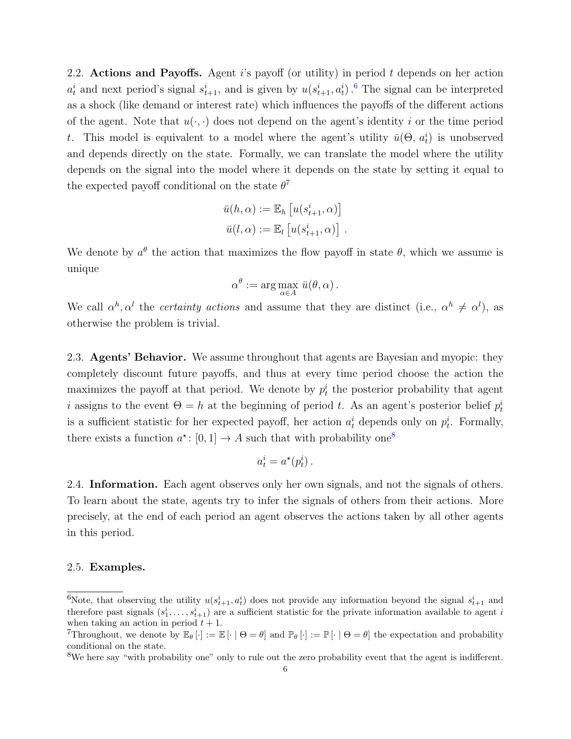2.2. Actions and Payoffs. Agent  $i$ 's payoff (or utility) in period t depends on her action  $a_t^i$  and next period's signal  $s_{t+1}^i$ , and is given by  $u(s_{t+1}^i, a_t^i)$ . <sup>[6](#page-5-0)</sup> The signal can be interpreted as a shock (like demand or interest rate) which influences the payoffs of the different actions of the agent. Note that  $u(\cdot, \cdot)$  does not depend on the agent's identity i or the time period t. This model is equivalent to a model where the agent's utility  $\bar{u}(\Theta, a_t^i)$  is unobserved and depends directly on the state. Formally, we can translate the model where the utility depends on the signal into the model where it depends on the state by setting it equal to the expected payoff conditional on the state  $\theta^7$  $\theta^7$ 

$$
\bar{u}(h,\alpha) := \mathbb{E}_h \left[ u(s_{t+1}^i, \alpha) \right]
$$

$$
\bar{u}(l,\alpha) := \mathbb{E}_l \left[ u(s_{t+1}^i, \alpha) \right].
$$

We denote by  $a^{\theta}$  the action that maximizes the flow payoff in state  $\theta$ , which we assume is unique

$$
\alpha^{\theta} := \arg \max_{\alpha \in A} \bar{u}(\theta, \alpha).
$$

We call  $\alpha^h, \alpha^l$  the *certainty actions* and assume that they are distinct (i.e.,  $\alpha^h \neq \alpha^l$ ), as otherwise the problem is trivial.

2.3. Agents' Behavior. We assume throughout that agents are Bayesian and myopic: they completely discount future payoffs, and thus at every time period choose the action the maximizes the payoff at that period. We denote by  $p_t^i$  the posterior probability that agent i assigns to the event  $\Theta = h$  at the beginning of period t. As an agent's posterior belief  $p_t^i$ is a sufficient statistic for her expected payoff, her action  $a_t^i$  depends only on  $p_t^i$ . Formally, there exists a function  $a^*$ : [0, 1]  $\rightarrow A$  such that with probability one<sup>[8](#page-5-2)</sup>

$$
a_t^i = a^\star(p_t^i) \, .
$$

2.4. Information. Each agent observes only her own signals, and not the signals of others. To learn about the state, agents try to infer the signals of others from their actions. More precisely, at the end of each period an agent observes the actions taken by all other agents in this period.

### 2.5. Examples.

<span id="page-5-0"></span><sup>&</sup>lt;sup>6</sup>Note, that observing the utility  $u(s_{t+1}^i, a_t^i)$  does not provide any information beyond the signal  $s_{t+1}^i$  and therefore past signals  $(s_1^i, \ldots, s_{t+1}^i)$  are a sufficient statistic for the private information available to agent i when taking an action in period  $t + 1$ .

<span id="page-5-1"></span>Throughout, we denote by  $\mathbb{E}_{\theta}[\cdot] := \mathbb{E}[\cdot | \Theta = \theta]$  and  $\mathbb{P}_{\theta}[\cdot] := \mathbb{P}[\cdot | \Theta = \theta]$  the expectation and probability conditional on the state.

<span id="page-5-2"></span><sup>&</sup>lt;sup>8</sup>We here say "with probability one" only to rule out the zero probability event that the agent is indifferent.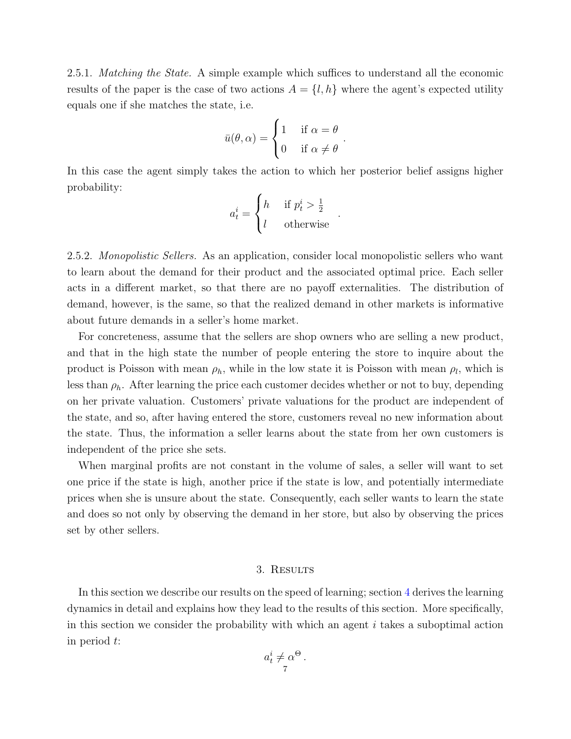<span id="page-6-0"></span>2.5.1. Matching the State. A simple example which suffices to understand all the economic results of the paper is the case of two actions  $A = \{l, h\}$  where the agent's expected utility equals one if she matches the state, i.e.

$$
\bar{u}(\theta,\alpha) = \begin{cases} 1 & \text{if } \alpha = \theta \\ 0 & \text{if } \alpha \neq \theta \end{cases}.
$$

In this case the agent simply takes the action to which her posterior belief assigns higher probability:

$$
a_t^i = \begin{cases} h & \text{if } p_t^i > \frac{1}{2} \\ l & \text{otherwise} \end{cases}
$$

.

2.5.2. Monopolistic Sellers. As an application, consider local monopolistic sellers who want to learn about the demand for their product and the associated optimal price. Each seller acts in a different market, so that there are no payoff externalities. The distribution of demand, however, is the same, so that the realized demand in other markets is informative about future demands in a seller's home market.

For concreteness, assume that the sellers are shop owners who are selling a new product, and that in the high state the number of people entering the store to inquire about the product is Poisson with mean  $\rho_h$ , while in the low state it is Poisson with mean  $\rho_l$ , which is less than  $\rho_h$ . After learning the price each customer decides whether or not to buy, depending on her private valuation. Customers' private valuations for the product are independent of the state, and so, after having entered the store, customers reveal no new information about the state. Thus, the information a seller learns about the state from her own customers is independent of the price she sets.

When marginal profits are not constant in the volume of sales, a seller will want to set one price if the state is high, another price if the state is low, and potentially intermediate prices when she is unsure about the state. Consequently, each seller wants to learn the state and does so not only by observing the demand in her store, but also by observing the prices set by other sellers.

#### 3. Results

<span id="page-6-1"></span>In this section we describe our results on the speed of learning; section [4](#page-10-0) derives the learning dynamics in detail and explains how they lead to the results of this section. More specifically, in this section we consider the probability with which an agent  $i$  takes a suboptimal action in period t:

$$
a_t^i \neq \alpha^{\Theta}.
$$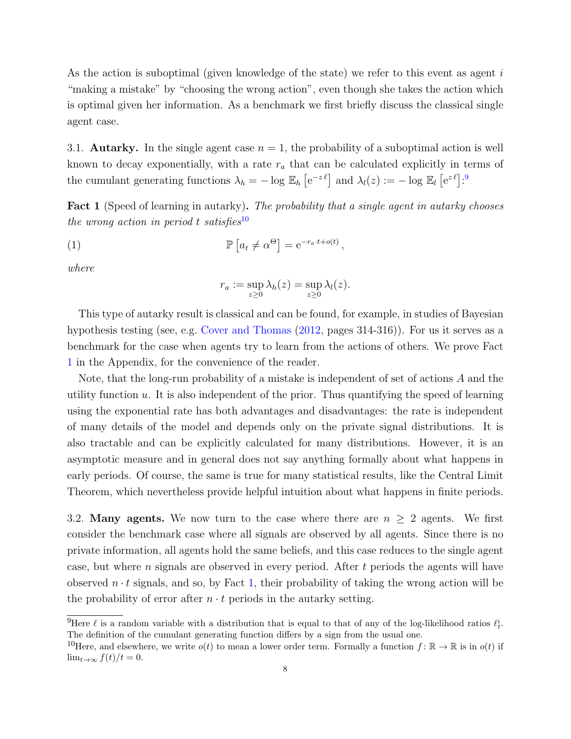As the action is suboptimal (given knowledge of the state) we refer to this event as agent  $i$ "making a mistake" by "choosing the wrong action", even though she takes the action which is optimal given her information. As a benchmark we first briefly discuss the classical single agent case.

3.1. **Autarky.** In the single agent case  $n = 1$ , the probability of a suboptimal action is well known to decay exponentially, with a rate  $r_a$  that can be calculated explicitly in terms of the cumulant generating functions  $\lambda_h = -\log \mathbb{E}_h \left[ e^{-z \ell} \right]$  and  $\lambda_l(z) := -\log \mathbb{E}_l \left[ e^{z \ell} \right]$ .

<span id="page-7-2"></span>Fact 1 (Speed of learning in autarky). The probability that a single agent in autarky chooses the wrong action in period t satisfies<sup>[10](#page-7-1)</sup>

,

(1) 
$$
\mathbb{P}\left[a_t \neq \alpha^{\Theta}\right] = e^{-r_a \cdot t + o(t)}
$$

where

$$
r_a := \sup_{z \ge 0} \lambda_h(z) = \sup_{z \ge 0} \lambda_l(z).
$$

This type of autarky result is classical and can be found, for example, in studies of Bayesian hypothesis testing (see, e.g. [Cover and Thomas](#page-17-12) [\(2012,](#page-17-12) pages 314-316)). For us it serves as a benchmark for the case when agents try to learn from the actions of others. We prove Fact [1](#page-7-2) in the Appendix, for the convenience of the reader.

Note, that the long-run probability of a mistake is independent of set of actions A and the utility function  $u$ . It is also independent of the prior. Thus quantifying the speed of learning using the exponential rate has both advantages and disadvantages: the rate is independent of many details of the model and depends only on the private signal distributions. It is also tractable and can be explicitly calculated for many distributions. However, it is an asymptotic measure and in general does not say anything formally about what happens in early periods. Of course, the same is true for many statistical results, like the Central Limit Theorem, which nevertheless provide helpful intuition about what happens in finite periods.

3.2. Many agents. We now turn to the case where there are  $n \geq 2$  agents. We first consider the benchmark case where all signals are observed by all agents. Since there is no private information, all agents hold the same beliefs, and this case reduces to the single agent case, but where  $n$  signals are observed in every period. After  $t$  periods the agents will have observed  $n \cdot t$  signals, and so, by Fact [1,](#page-7-2) their probability of taking the wrong action will be the probability of error after  $n \cdot t$  periods in the autarky setting.

<span id="page-7-0"></span><sup>&</sup>lt;sup>9</sup>Here  $\ell$  is a random variable with a distribution that is equal to that of any of the log-likelihood ratios  $\ell_t^i$ . The definition of the cumulant generating function differs by a sign from the usual one.

<span id="page-7-1"></span><sup>&</sup>lt;sup>10</sup>Here, and elsewhere, we write  $o(t)$  to mean a lower order term. Formally a function  $f: \mathbb{R} \to \mathbb{R}$  is in  $o(t)$  if  $\lim_{t\to\infty} f(t)/t = 0.$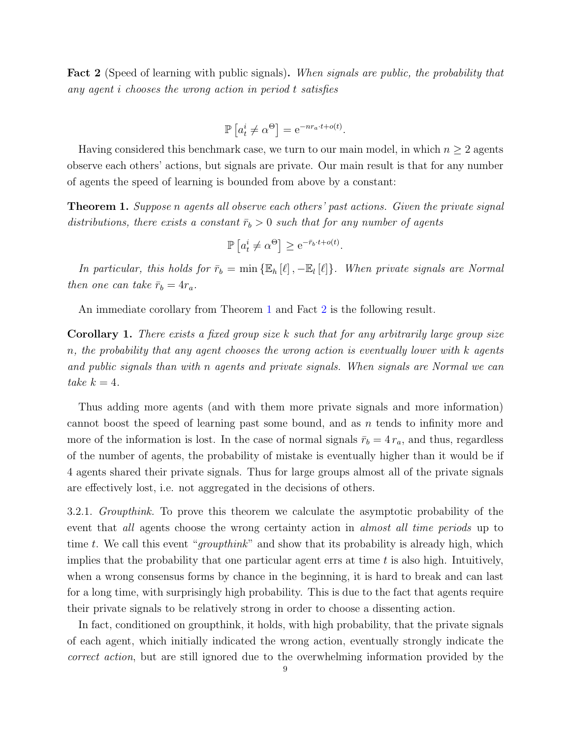<span id="page-8-1"></span>Fact 2 (Speed of learning with public signals). When signals are public, the probability that any agent i chooses the wrong action in period t satisfies

$$
\mathbb{P}\left[a_t^i \neq \alpha^{\Theta}\right] = e^{-nr_a \cdot t + o(t)}
$$

.

Having considered this benchmark case, we turn to our main model, in which  $n \geq 2$  agents observe each others' actions, but signals are private. Our main result is that for any number of agents the speed of learning is bounded from above by a constant:

<span id="page-8-0"></span>**Theorem 1.** Suppose n agents all observe each others' past actions. Given the private signal distributions, there exists a constant  $\bar{r}_b > 0$  such that for any number of agents

$$
\mathbb{P}\left[a_t^i \neq \alpha^{\Theta}\right] \ge e^{-\bar{r}_b \cdot t + o(t)}.
$$

In particular, this holds for  $\bar{r}_b = \min \{ \mathbb{E}_h[\ell], -\mathbb{E}_l[\ell] \}$ . When private signals are Normal then one can take  $\bar{r}_b = 4r_a$ .

An immediate corollary from Theorem [1](#page-8-0) and Fact [2](#page-8-1) is the following result.

**Corollary 1.** There exists a fixed group size  $k$  such that for any arbitrarily large group size n, the probability that any agent chooses the wrong action is eventually lower with k agents and public signals than with n agents and private signals. When signals are Normal we can take  $k = 4$ .

Thus adding more agents (and with them more private signals and more information) cannot boost the speed of learning past some bound, and as n tends to infinity more and more of the information is lost. In the case of normal signals  $\bar{r}_b = 4 r_a$ , and thus, regardless of the number of agents, the probability of mistake is eventually higher than it would be if 4 agents shared their private signals. Thus for large groups almost all of the private signals are effectively lost, i.e. not aggregated in the decisions of others.

3.2.1. Groupthink. To prove this theorem we calculate the asymptotic probability of the event that all agents choose the wrong certainty action in almost all time periods up to time t. We call this event "*groupthink*" and show that its probability is already high, which implies that the probability that one particular agent errs at time  $t$  is also high. Intuitively, when a wrong consensus forms by chance in the beginning, it is hard to break and can last for a long time, with surprisingly high probability. This is due to the fact that agents require their private signals to be relatively strong in order to choose a dissenting action.

In fact, conditioned on groupthink, it holds, with high probability, that the private signals of each agent, which initially indicated the wrong action, eventually strongly indicate the correct action, but are still ignored due to the overwhelming information provided by the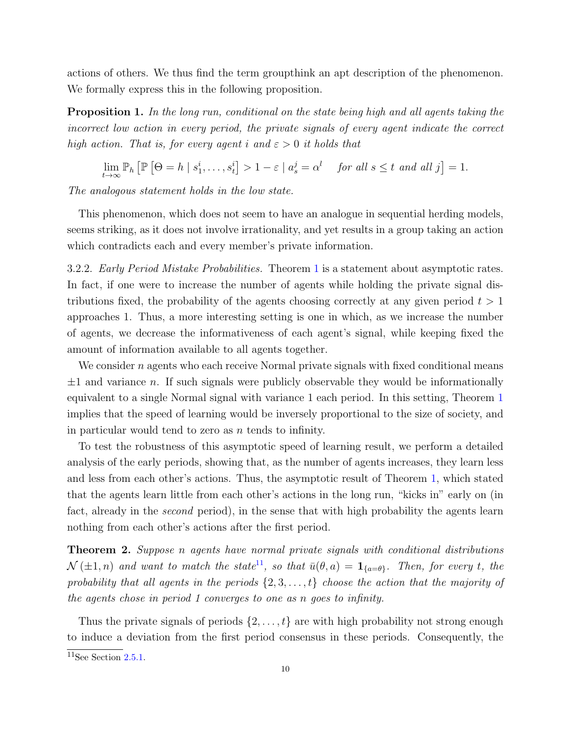actions of others. We thus find the term groupthink an apt description of the phenomenon. We formally express this in the following proposition.

<span id="page-9-1"></span>**Proposition 1.** In the long run, conditional on the state being high and all agents taking the incorrect low action in every period, the private signals of every agent indicate the correct high action. That is, for every agent i and  $\varepsilon > 0$  it holds that

$$
\lim_{t \to \infty} \mathbb{P}_h \left[ \mathbb{P} \left[ \Theta = h \mid s_1^i, \dots, s_t^i \right] > 1 - \varepsilon \mid a_s^j = \alpha^l \quad \text{ for all } s \leq t \text{ and all } j \right] = 1.
$$

The analogous statement holds in the low state.

This phenomenon, which does not seem to have an analogue in sequential herding models, seems striking, as it does not involve irrationality, and yet results in a group taking an action which contradicts each and every member's private information.

3.2.2. Early Period Mistake Probabilities. Theorem [1](#page-8-0) is a statement about asymptotic rates. In fact, if one were to increase the number of agents while holding the private signal distributions fixed, the probability of the agents choosing correctly at any given period  $t > 1$ approaches 1. Thus, a more interesting setting is one in which, as we increase the number of agents, we decrease the informativeness of each agent's signal, while keeping fixed the amount of information available to all agents together.

We consider  $n$  agents who each receive Normal private signals with fixed conditional means  $\pm 1$  and variance n. If such signals were publicly observable they would be informationally equivalent to a single Normal signal with variance 1 each period. In this setting, Theorem [1](#page-8-0) implies that the speed of learning would be inversely proportional to the size of society, and in particular would tend to zero as  $n$  tends to infinity.

To test the robustness of this asymptotic speed of learning result, we perform a detailed analysis of the early periods, showing that, as the number of agents increases, they learn less and less from each other's actions. Thus, the asymptotic result of Theorem [1,](#page-8-0) which stated that the agents learn little from each other's actions in the long run, "kicks in" early on (in fact, already in the *second* period), in the sense that with high probability the agents learn nothing from each other's actions after the first period.

<span id="page-9-2"></span>Theorem 2. Suppose n agents have normal private signals with conditional distributions  $\mathcal{N}(\pm 1, n)$  and want to match the state<sup>[11](#page-9-0)</sup>, so that  $\bar{u}(\theta, a) = \mathbf{1}_{\{a=\theta\}}$ . Then, for every t, the probability that all agents in the periods  $\{2, 3, \ldots, t\}$  choose the action that the majority of the agents chose in period 1 converges to one as n goes to infinity.

Thus the private signals of periods  $\{2, \ldots, t\}$  are with high probability not strong enough to induce a deviation from the first period consensus in these periods. Consequently, the

<span id="page-9-0"></span> $11$ See Section [2.5.1.](#page-6-0)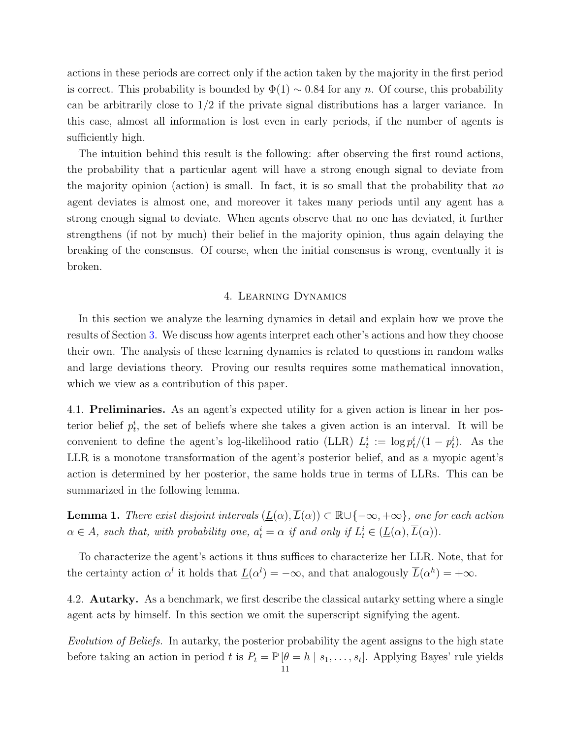actions in these periods are correct only if the action taken by the majority in the first period is correct. This probability is bounded by  $\Phi(1) \sim 0.84$  for any n. Of course, this probability can be arbitrarily close to  $1/2$  if the private signal distributions has a larger variance. In this case, almost all information is lost even in early periods, if the number of agents is sufficiently high.

The intuition behind this result is the following: after observing the first round actions, the probability that a particular agent will have a strong enough signal to deviate from the majority opinion (action) is small. In fact, it is so small that the probability that no agent deviates is almost one, and moreover it takes many periods until any agent has a strong enough signal to deviate. When agents observe that no one has deviated, it further strengthens (if not by much) their belief in the majority opinion, thus again delaying the breaking of the consensus. Of course, when the initial consensus is wrong, eventually it is broken.

#### 4. Learning Dynamics

<span id="page-10-0"></span>In this section we analyze the learning dynamics in detail and explain how we prove the results of Section [3.](#page-6-1) We discuss how agents interpret each other's actions and how they choose their own. The analysis of these learning dynamics is related to questions in random walks and large deviations theory. Proving our results requires some mathematical innovation, which we view as a contribution of this paper.

4.1. Preliminaries. As an agent's expected utility for a given action is linear in her posterior belief  $p_t^i$ , the set of beliefs where she takes a given action is an interval. It will be convenient to define the agent's log-likelihood ratio (LLR)  $L_t^i := \log p_t^i/(1-p_t^i)$ . As the LLR is a monotone transformation of the agent's posterior belief, and as a myopic agent's action is determined by her posterior, the same holds true in terms of LLRs. This can be summarized in the following lemma.

<span id="page-10-1"></span>**Lemma 1.** There exist disjoint intervals  $(\underline{L}(\alpha), \overline{L}(\alpha)) \subset \mathbb{R} \cup \{-\infty, +\infty\}$ , one for each action  $\alpha \in A$ , such that, with probability one,  $a_t^i = \alpha$  if and only if  $L_t^i \in (\underline{L}(\alpha), \overline{L}(\alpha))$ .

To characterize the agent's actions it thus suffices to characterize her LLR. Note, that for the certainty action  $\alpha^l$  it holds that  $\underline{L}(\alpha^l) = -\infty$ , and that analogously  $\overline{L}(\alpha^h) = +\infty$ .

4.2. Autarky. As a benchmark, we first describe the classical autarky setting where a single agent acts by himself. In this section we omit the superscript signifying the agent.

Evolution of Beliefs. In autarky, the posterior probability the agent assigns to the high state before taking an action in period t is  $P_t = \mathbb{P}[\theta = h \mid s_1, \ldots, s_t]$ . Applying Bayes' rule yields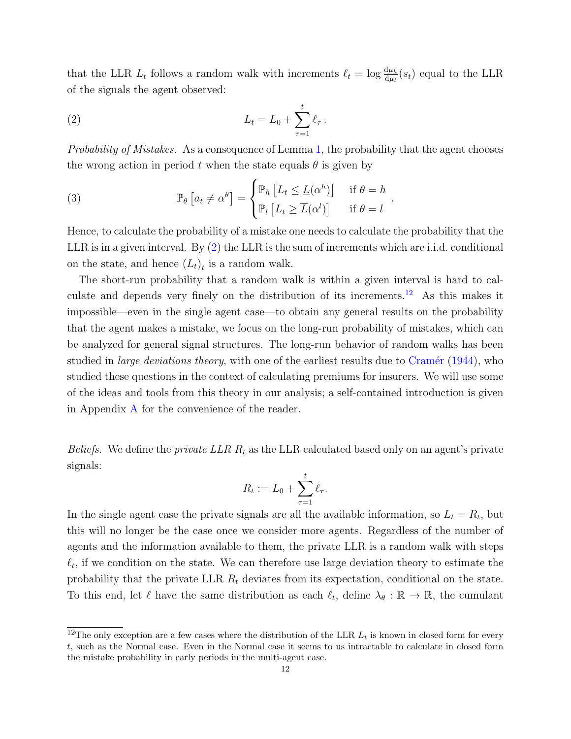that the LLR  $L_t$  follows a random walk with increments  $\ell_t = \log \frac{d\mu_h}{d\mu_l}(s_t)$  equal to the LLR of the signals the agent observed:

<span id="page-11-0"></span>(2) 
$$
L_t = L_0 + \sum_{\tau=1}^t \ell_\tau.
$$

Probability of Mistakes. As a consequence of Lemma [1,](#page-10-1) the probability that the agent chooses the wrong action in period t when the state equals  $\theta$  is given by

(3) 
$$
\mathbb{P}_{\theta}\left[a_{t} \neq \alpha^{\theta}\right] = \begin{cases} \mathbb{P}_{h}\left[L_{t} \leq \underline{L}(\alpha^{h})\right] & \text{if } \theta = h \\ \mathbb{P}_{l}\left[L_{t} \geq \overline{L}(\alpha^{l})\right] & \text{if } \theta = l \end{cases}.
$$

Hence, to calculate the probability of a mistake one needs to calculate the probability that the LLR is in a given interval. By [\(2\)](#page-11-0) the LLR is the sum of increments which are i.i.d. conditional on the state, and hence  $(L_t)_t$  is a random walk.

The short-run probability that a random walk is within a given interval is hard to calculate and depends very finely on the distribution of its increments.[12](#page-11-1) As this makes it impossible—even in the single agent case—to obtain any general results on the probability that the agent makes a mistake, we focus on the long-run probability of mistakes, which can be analyzed for general signal structures. The long-run behavior of random walks has been studied in *large deviations theory*, with one of the earliest results due to Cramér  $(1944)$ , who studied these questions in the context of calculating premiums for insurers. We will use some of the ideas and tools from this theory in our analysis; a self-contained introduction is given in Appendix [A](#page-19-0) for the convenience of the reader.

*Beliefs.* We define the *private LLR*  $R_t$  as the LLR calculated based only on an agent's private signals:

$$
R_t := L_0 + \sum_{\tau=1}^t \ell_\tau.
$$

In the single agent case the private signals are all the available information, so  $L_t = R_t$ , but this will no longer be the case once we consider more agents. Regardless of the number of agents and the information available to them, the private LLR is a random walk with steps  $\ell_t$ , if we condition on the state. We can therefore use large deviation theory to estimate the probability that the private LLR  $R_t$  deviates from its expectation, conditional on the state. To this end, let  $\ell$  have the same distribution as each  $\ell_t$ , define  $\lambda_{\theta} : \mathbb{R} \to \mathbb{R}$ , the cumulant

<span id="page-11-1"></span><sup>&</sup>lt;sup>12</sup>The only exception are a few cases where the distribution of the LLR  $L_t$  is known in closed form for every t, such as the Normal case. Even in the Normal case it seems to us intractable to calculate in closed form the mistake probability in early periods in the multi-agent case.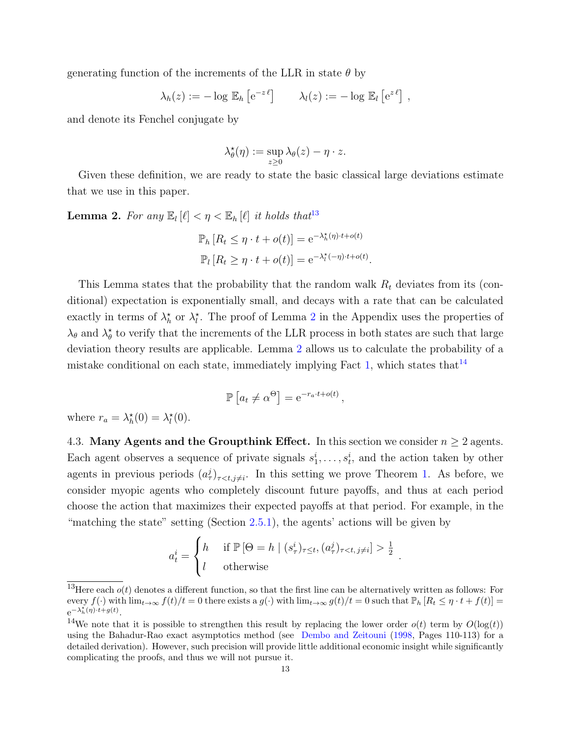generating function of the increments of the LLR in state  $\theta$  by

$$
\lambda_h(z) := -\log \mathbb{E}_h \left[ e^{-z \ell} \right] \qquad \lambda_l(z) := -\log \mathbb{E}_l \left[ e^{z \ell} \right],
$$

and denote its Fenchel conjugate by

$$
\lambda_{\theta}^{\star}(\eta) := \sup_{z \geq 0} \lambda_{\theta}(z) - \eta \cdot z.
$$

Given these definition, we are ready to state the basic classical large deviations estimate that we use in this paper.

<span id="page-12-1"></span>**Lemma 2.** For any  $\mathbb{E}_l [\ell] < \eta < \mathbb{E}_h [\ell]$  it holds that<sup>[13](#page-12-0)</sup>

$$
\mathbb{P}_h [R_t \le \eta \cdot t + o(t)] = e^{-\lambda_h^{\star}(\eta) \cdot t + o(t)}
$$

$$
\mathbb{P}_l [R_t \ge \eta \cdot t + o(t)] = e^{-\lambda_l^{\star}(-\eta) \cdot t + o(t)}.
$$

This Lemma states that the probability that the random walk  $R_t$  deviates from its (conditional) expectation is exponentially small, and decays with a rate that can be calculated exactly in terms of  $\lambda_h^*$  or  $\lambda_l^*$ . The proof of Lemma [2](#page-12-1) in the Appendix uses the properties of  $\lambda_{\theta}$  and  $\lambda_{\theta}^*$  to verify that the increments of the LLR process in both states are such that large deviation theory results are applicable. Lemma [2](#page-12-1) allows us to calculate the probability of a mistake conditional on each state, immediately implying Fact [1,](#page-7-2) which states that  $14$ 

$$
\mathbb{P}\left[a_t \neq \alpha^{\Theta}\right] = e^{-r_a \cdot t + o(t)},
$$

where  $r_a = \lambda_h^*(0) = \lambda_l^*(0)$ .

4.3. Many Agents and the Groupthink Effect. In this section we consider  $n \geq 2$  agents. Each agent observes a sequence of private signals  $s_1^i, \ldots, s_t^i$ , and the action taken by other agents in previous periods  $(a^j_\tau)_{\tau < t, j \neq i}$ . In this setting we prove Theorem [1.](#page-8-0) As before, we consider myopic agents who completely discount future payoffs, and thus at each period choose the action that maximizes their expected payoffs at that period. For example, in the "matching the state" setting (Section  $(2.5.1)$  $(2.5.1)$ , the agents' actions will be given by

$$
a_t^i = \begin{cases} h & \text{if } \mathbb{P}[\Theta = h \mid (s_\tau^i)_{\tau \le t}, (a_\tau^j)_{\tau < t, j \ne i} ] > \frac{1}{2} \\ l & \text{otherwise} \end{cases}
$$

.

<span id="page-12-0"></span><sup>&</sup>lt;sup>13</sup>Here each  $o(t)$  denotes a different function, so that the first line can be alternatively written as follows: For every  $f(\cdot)$  with  $\lim_{t\to\infty} f(t)/t = 0$  there exists a  $g(\cdot)$  with  $\lim_{t\to\infty} g(t)/t = 0$  such that  $\mathbb{P}_h[R_t \leq \eta \cdot t + f(t)] =$  $e^{-\lambda_h^{\star}(\eta) \cdot \hat{t} + g(t)}$ .

<span id="page-12-2"></span><sup>&</sup>lt;sup>14</sup>We note that it is possible to strengthen this result by replacing the lower order  $o(t)$  term by  $O(\log(t))$ using the Bahadur-Rao exact asymptotics method (see [Dembo and Zeitouni](#page-17-14) [\(1998,](#page-17-14) Pages 110-113) for a detailed derivation). However, such precision will provide little additional economic insight while significantly complicating the proofs, and thus we will not pursue it.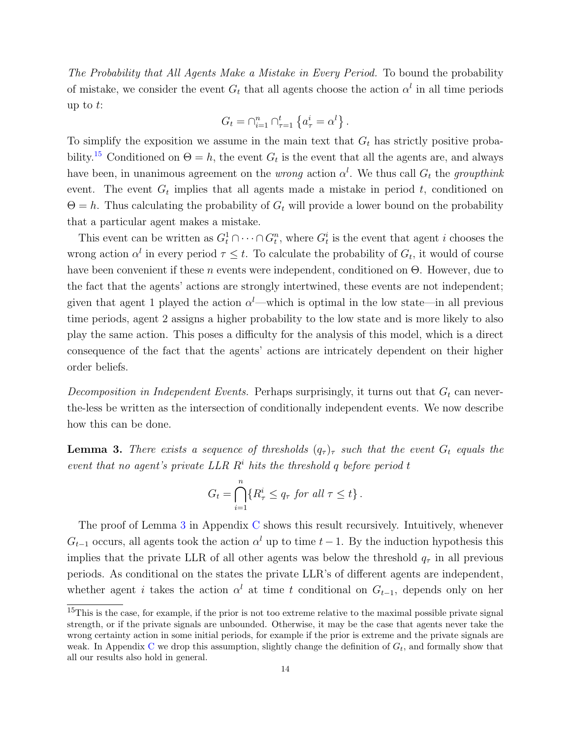The Probability that All Agents Make a Mistake in Every Period. To bound the probability of mistake, we consider the event  $G_t$  that all agents choose the action  $\alpha^l$  in all time periods up to  $t$ :

$$
G_t = \bigcap_{i=1}^n \bigcap_{\tau=1}^t \left\{ a^i_\tau = \alpha^l \right\}.
$$

To simplify the exposition we assume in the main text that  $G_t$  has strictly positive proba-bility.<sup>[15](#page-13-0)</sup> Conditioned on  $\Theta = h$ , the event  $G_t$  is the event that all the agents are, and always have been, in unanimous agreement on the *wrong* action  $\alpha^l$ . We thus call  $G_t$  the *groupthink* event. The event  $G_t$  implies that all agents made a mistake in period  $t$ , conditioned on  $\Theta = h$ . Thus calculating the probability of  $G_t$  will provide a lower bound on the probability that a particular agent makes a mistake.

This event can be written as  $G_t^1 \cap \cdots \cap G_t^n$ , where  $G_t^i$  is the event that agent *i* chooses the wrong action  $\alpha^l$  in every period  $\tau \leq t$ . To calculate the probability of  $G_t$ , it would of course have been convenient if these n events were independent, conditioned on  $\Theta$ . However, due to the fact that the agents' actions are strongly intertwined, these events are not independent; given that agent 1 played the action  $\alpha^l$ —which is optimal in the low state—in all previous time periods, agent 2 assigns a higher probability to the low state and is more likely to also play the same action. This poses a difficulty for the analysis of this model, which is a direct consequence of the fact that the agents' actions are intricately dependent on their higher order beliefs.

*Decomposition in Independent Events.* Perhaps surprisingly, it turns out that  $G_t$  can neverthe-less be written as the intersection of conditionally independent events. We now describe how this can be done.

<span id="page-13-1"></span>**Lemma 3.** There exists a sequence of thresholds  $(q_{\tau})_{\tau}$  such that the event  $G_t$  equals the event that no agent's private LLR  $R<sup>i</sup>$  hits the threshold q before period t

$$
G_t = \bigcap_{i=1}^n \{ R_\tau^i \le q_\tau \text{ for all } \tau \le t \} .
$$

The proof of Lemma [3](#page-13-1) in Appendix [C](#page-25-0) shows this result recursively. Intuitively, whenever  $G_{t-1}$  occurs, all agents took the action  $\alpha^{l}$  up to time  $t-1$ . By the induction hypothesis this implies that the private LLR of all other agents was below the threshold  $q<sub>\tau</sub>$  in all previous periods. As conditional on the states the private LLR's of different agents are independent, whether agent i takes the action  $\alpha^l$  at time t conditional on  $G_{t-1}$ , depends only on her

<span id="page-13-0"></span> $15$ This is the case, for example, if the prior is not too extreme relative to the maximal possible private signal strength, or if the private signals are unbounded. Otherwise, it may be the case that agents never take the wrong certainty action in some initial periods, for example if the prior is extreme and the private signals are weak. In Appendix [C](#page-25-0) we drop this assumption, slightly change the definition of  $G_t$ , and formally show that all our results also hold in general.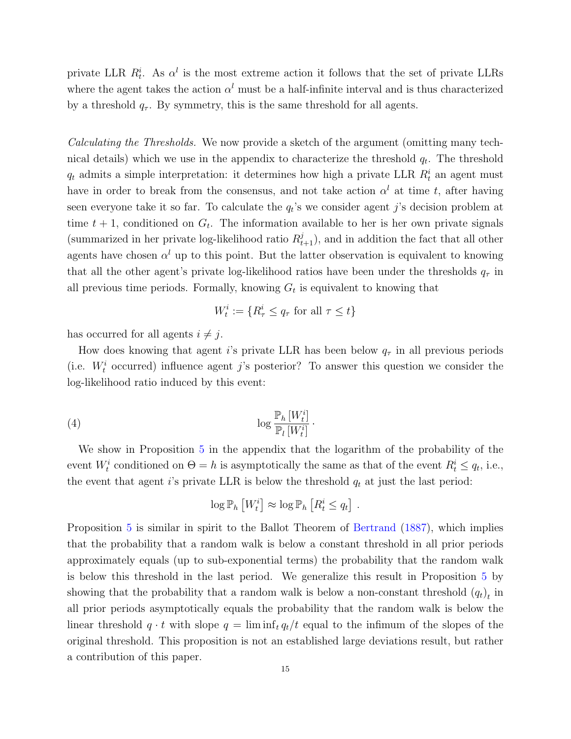private LLR  $R_t^i$ . As  $\alpha^l$  is the most extreme action it follows that the set of private LLRs where the agent takes the action  $\alpha^{l}$  must be a half-infinite interval and is thus characterized by a threshold  $q_{\tau}$ . By symmetry, this is the same threshold for all agents.

Calculating the Thresholds. We now provide a sketch of the argument (omitting many technical details) which we use in the appendix to characterize the threshold  $q_t$ . The threshold  $q_t$  admits a simple interpretation: it determines how high a private LLR  $R_t^i$  an agent must have in order to break from the consensus, and not take action  $\alpha^l$  at time t, after having seen everyone take it so far. To calculate the  $q_t$ 's we consider agent j's decision problem at time  $t + 1$ , conditioned on  $G_t$ . The information available to her is her own private signals (summarized in her private log-likelihood ratio  $R_{t+1}^j$ ), and in addition the fact that all other agents have chosen  $\alpha^l$  up to this point. But the latter observation is equivalent to knowing that all the other agent's private log-likelihood ratios have been under the thresholds  $q<sub>\tau</sub>$  in all previous time periods. Formally, knowing  $G_t$  is equivalent to knowing that

$$
W_t^i:=\{R_{\tau}^i\leq q_{\tau} \text{ for all } \tau\leq t\}
$$

has occurred for all agents  $i \neq j$ .

How does knowing that agent is private LLR has been below  $q<sub>\tau</sub>$  in all previous periods (i.e.  $W_t^i$  occurred) influence agent j's posterior? To answer this question we consider the log-likelihood ratio induced by this event:

(4) 
$$
\log \frac{\mathbb{P}_h\left[W_t^i\right]}{\mathbb{P}_l\left[W_t^i\right]}.
$$

We show in Proposition [5](#page-23-0) in the appendix that the logarithm of the probability of the event  $W_t^i$  conditioned on  $\Theta = h$  is asymptotically the same as that of the event  $R_t^i \leq q_t$ , i.e., the event that agent i's private LLR is below the threshold  $q_t$  at just the last period:

$$
\log \mathbb{P}_h \left[ W_t^i \right] \approx \log \mathbb{P}_h \left[ R_t^i \le q_t \right] .
$$

Proposition [5](#page-23-0) is similar in spirit to the Ballot Theorem of [Bertrand](#page-17-15) [\(1887\)](#page-17-15), which implies that the probability that a random walk is below a constant threshold in all prior periods approximately equals (up to sub-exponential terms) the probability that the random walk is below this threshold in the last period. We generalize this result in Proposition [5](#page-23-0) by showing that the probability that a random walk is below a non-constant threshold  $(q_t)_t$  in all prior periods asymptotically equals the probability that the random walk is below the linear threshold  $q \cdot t$  with slope  $q = \liminf_t q_t/t$  equal to the infimum of the slopes of the original threshold. This proposition is not an established large deviations result, but rather a contribution of this paper.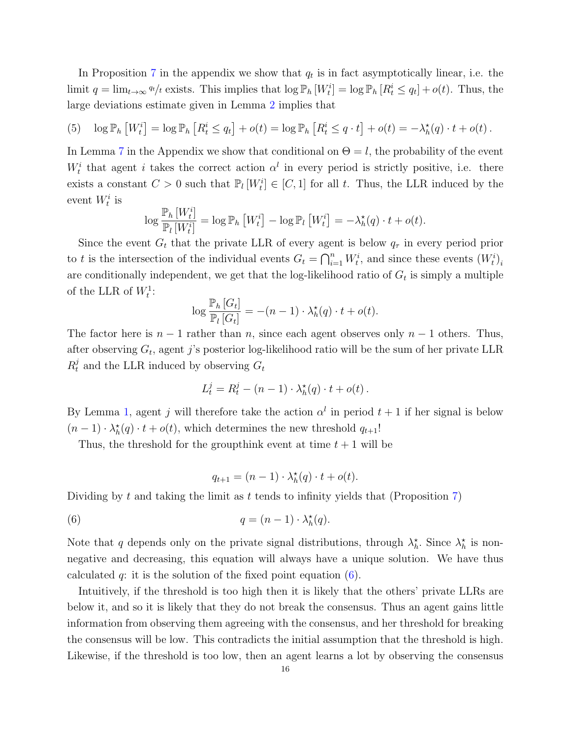In Proposition [7](#page-28-0) in the appendix we show that  $q_t$  is in fact asymptotically linear, i.e. the limit  $q = \lim_{t \to \infty} q_t/t$  exists. This implies that  $\log \mathbb{P}_h [W_t^i] = \log \mathbb{P}_h [R_t^i \leq q_t] + o(t)$ . Thus, the large deviations estimate given in Lemma [2](#page-12-1) implies that

<span id="page-15-1"></span>(5) 
$$
\log \mathbb{P}_h \left[ W_t^i \right] = \log \mathbb{P}_h \left[ R_t^i \leq q_t \right] + o(t) = \log \mathbb{P}_h \left[ R_t^i \leq q \cdot t \right] + o(t) = -\lambda_h^{\star}(q) \cdot t + o(t).
$$

In Lemma [7](#page-27-0) in the Appendix we show that conditional on  $\Theta = l$ , the probability of the event  $W_t^i$  that agent i takes the correct action  $\alpha^l$  in every period is strictly positive, i.e. there exists a constant  $C > 0$  such that  $\mathbb{P}_l[W_t^i] \in [C, 1]$  for all t. Thus, the LLR induced by the event  $W_t^i$  is

$$
\log \frac{\mathbb{P}_h\left[W_t^i\right]}{\mathbb{P}_l\left[W_t^i\right]} = \log \mathbb{P}_h\left[W_t^i\right] - \log \mathbb{P}_l\left[W_t^i\right] = -\lambda_h^{\star}(q) \cdot t + o(t).
$$

Since the event  $G_t$  that the private LLR of every agent is below  $q_{\tau}$  in every period prior to t is the intersection of the individual events  $G_t = \bigcap_{i=1}^n W_t^i$ , and since these events  $(W_t^i)_i$ are conditionally independent, we get that the log-likelihood ratio of  $G_t$  is simply a multiple of the LLR of  $W_t^1$ :

$$
\log \frac{\mathbb{P}_h\left[G_t\right]}{\mathbb{P}_l\left[G_t\right]} = -(n-1) \cdot \lambda_h^{\star}(q) \cdot t + o(t).
$$

The factor here is  $n-1$  rather than n, since each agent observes only  $n-1$  others. Thus, after observing  $G_t$ , agent j's posterior log-likelihood ratio will be the sum of her private LLR  $R_t^j$  and the LLR induced by observing  $G_t$ 

$$
L_t^j = R_t^j - (n-1) \cdot \lambda_h^*(q) \cdot t + o(t) \, .
$$

By Lemma [1,](#page-10-1) agent j will therefore take the action  $\alpha^{l}$  in period  $t+1$  if her signal is below  $(n-1) \cdot \lambda_h^{\star}(q) \cdot t + o(t)$ , which determines the new threshold  $q_{t+1}!$ 

Thus, the threshold for the groupthink event at time  $t + 1$  will be

<span id="page-15-0"></span>
$$
q_{t+1} = (n-1) \cdot \lambda_h^{\star}(q) \cdot t + o(t).
$$

Dividing by t and taking the limit as t tends to infinity yields that (Proposition  $7$ )

(6) 
$$
q = (n-1) \cdot \lambda_h^*(q).
$$

Note that q depends only on the private signal distributions, through  $\lambda_h^*$ . Since  $\lambda_h^*$  is nonnegative and decreasing, this equation will always have a unique solution. We have thus calculated q: it is the solution of the fixed point equation  $(6)$ .

Intuitively, if the threshold is too high then it is likely that the others' private LLRs are below it, and so it is likely that they do not break the consensus. Thus an agent gains little information from observing them agreeing with the consensus, and her threshold for breaking the consensus will be low. This contradicts the initial assumption that the threshold is high. Likewise, if the threshold is too low, then an agent learns a lot by observing the consensus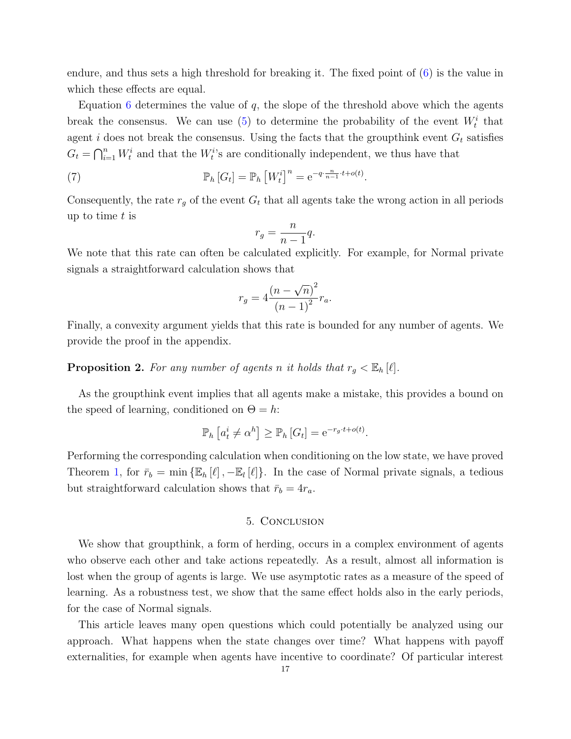endure, and thus sets a high threshold for breaking it. The fixed point of [\(6\)](#page-15-0) is the value in which these effects are equal.

Equation [6](#page-15-0) determines the value of  $q$ , the slope of the threshold above which the agents break the consensus. We can use [\(5\)](#page-15-1) to determine the probability of the event  $W_t^i$  that agent i does not break the consensus. Using the facts that the groupthink event  $G_t$  satisfies  $G_t = \bigcap_{i=1}^n W_t^i$  and that the  $W_t^i$ 's are conditionally independent, we thus have that

(7) 
$$
\mathbb{P}_h\left[G_t\right] = \mathbb{P}_h\left[W_t^i\right]^n = e^{-q \cdot \frac{n}{n-1} \cdot t + o(t)}.
$$

Consequently, the rate  $r_g$  of the event  $G_t$  that all agents take the wrong action in all periods up to time  $t$  is

$$
r_g = \frac{n}{n-1}q.
$$

We note that this rate can often be calculated explicitly. For example, for Normal private signals a straightforward calculation shows that

$$
r_g = 4 \frac{(n - \sqrt{n})^2}{(n - 1)^2} r_a.
$$

Finally, a convexity argument yields that this rate is bounded for any number of agents. We provide the proof in the appendix.

# <span id="page-16-0"></span>**Proposition 2.** For any number of agents n it holds that  $r_g < \mathbb{E}_h[\ell]$ .

As the groupthink event implies that all agents make a mistake, this provides a bound on the speed of learning, conditioned on  $\Theta = h$ :

$$
\mathbb{P}_h\left[a_t^i \neq \alpha^h\right] \geq \mathbb{P}_h\left[G_t\right] = e^{-r_g \cdot t + o(t)}.
$$

Performing the corresponding calculation when conditioning on the low state, we have proved Theorem [1,](#page-8-0) for  $\bar{r}_b = \min \{ \mathbb{E}_h[\ell], -\mathbb{E}_l[\ell] \}$ . In the case of Normal private signals, a tedious but straightforward calculation shows that  $\bar{r}_b = 4r_a$ .

# 5. Conclusion

We show that groupthink, a form of herding, occurs in a complex environment of agents who observe each other and take actions repeatedly. As a result, almost all information is lost when the group of agents is large. We use asymptotic rates as a measure of the speed of learning. As a robustness test, we show that the same effect holds also in the early periods, for the case of Normal signals.

This article leaves many open questions which could potentially be analyzed using our approach. What happens when the state changes over time? What happens with payoff externalities, for example when agents have incentive to coordinate? Of particular interest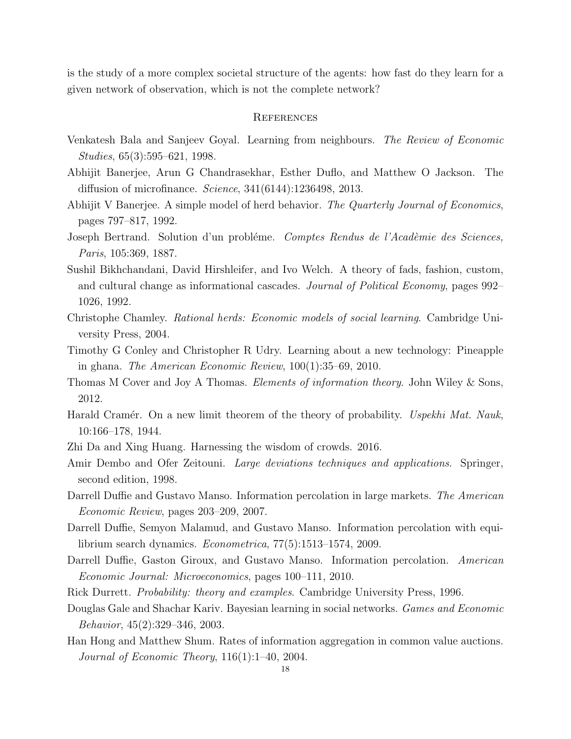is the study of a more complex societal structure of the agents: how fast do they learn for a given network of observation, which is not the complete network?

### **REFERENCES**

- <span id="page-17-9"></span>Venkatesh Bala and Sanjeev Goyal. Learning from neighbours. The Review of Economic Studies, 65(3):595–621, 1998.
- <span id="page-17-11"></span>Abhijit Banerjee, Arun G Chandrasekhar, Esther Duflo, and Matthew O Jackson. The diffusion of microfinance. Science, 341(6144):1236498, 2013.
- <span id="page-17-7"></span>Abhijit V Banerjee. A simple model of herd behavior. The Quarterly Journal of Economics, pages 797–817, 1992.
- <span id="page-17-15"></span>Joseph Bertrand. Solution d'un problème. Comptes Rendus de l'Acadèmie des Sciences, Paris, 105:369, 1887.
- <span id="page-17-6"></span>Sushil Bikhchandani, David Hirshleifer, and Ivo Welch. A theory of fads, fashion, custom, and cultural change as informational cascades. Journal of Political Economy, pages 992– 1026, 1992.
- <span id="page-17-1"></span>Christophe Chamley. Rational herds: Economic models of social learning. Cambridge University Press, 2004.
- <span id="page-17-10"></span>Timothy G Conley and Christopher R Udry. Learning about a new technology: Pineapple in ghana. The American Economic Review, 100(1):35–69, 2010.
- <span id="page-17-12"></span>Thomas M Cover and Joy A Thomas. Elements of information theory. John Wiley & Sons, 2012.
- <span id="page-17-13"></span>Harald Cramér. On a new limit theorem of the theory of probability. Uspekhi Mat. Nauk, 10:166–178, 1944.
- <span id="page-17-14"></span><span id="page-17-0"></span>Zhi Da and Xing Huang. Harnessing the wisdom of crowds. 2016.
- Amir Dembo and Ofer Zeitouni. Large deviations techniques and applications. Springer, second edition, 1998.
- <span id="page-17-2"></span>Darrell Duffie and Gustavo Manso. Information percolation in large markets. The American Economic Review, pages 203–209, 2007.
- <span id="page-17-3"></span>Darrell Duffie, Semyon Malamud, and Gustavo Manso. Information percolation with equilibrium search dynamics. Econometrica, 77(5):1513–1574, 2009.
- <span id="page-17-4"></span>Darrell Duffie, Gaston Giroux, and Gustavo Manso. Information percolation. American Economic Journal: Microeconomics, pages 100–111, 2010.
- <span id="page-17-16"></span><span id="page-17-8"></span>Rick Durrett. *Probability: theory and examples.* Cambridge University Press, 1996.
- Douglas Gale and Shachar Kariv. Bayesian learning in social networks. Games and Economic Behavior, 45(2):329–346, 2003.
- <span id="page-17-5"></span>Han Hong and Matthew Shum. Rates of information aggregation in common value auctions. Journal of Economic Theory, 116(1):1–40, 2004.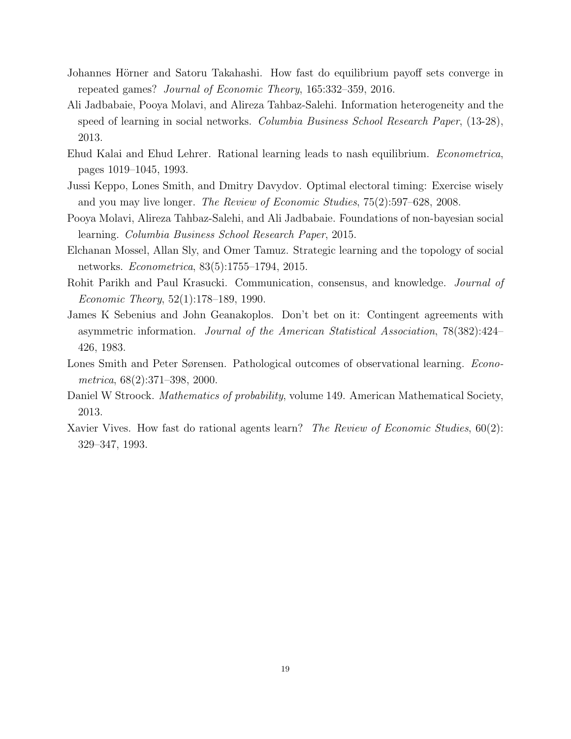- <span id="page-18-3"></span>Johannes Hörner and Satoru Takahashi. How fast do equilibrium payoff sets converge in repeated games? Journal of Economic Theory, 165:332–359, 2016.
- <span id="page-18-1"></span>Ali Jadbabaie, Pooya Molavi, and Alireza Tahbaz-Salehi. Information heterogeneity and the speed of learning in social networks. Columbia Business School Research Paper, (13-28), 2013.
- <span id="page-18-4"></span>Ehud Kalai and Ehud Lehrer. Rational learning leads to nash equilibrium. Econometrica, pages 1019–1045, 1993.
- <span id="page-18-9"></span>Jussi Keppo, Lones Smith, and Dmitry Davydov. Optimal electoral timing: Exercise wisely and you may live longer. The Review of Economic Studies, 75(2):597–628, 2008.
- <span id="page-18-2"></span>Pooya Molavi, Alireza Tahbaz-Salehi, and Ali Jadbabaie. Foundations of non-bayesian social learning. Columbia Business School Research Paper, 2015.
- <span id="page-18-6"></span>Elchanan Mossel, Allan Sly, and Omer Tamuz. Strategic learning and the topology of social networks. Econometrica, 83(5):1755–1794, 2015.
- <span id="page-18-8"></span>Rohit Parikh and Paul Krasucki. Communication, consensus, and knowledge. Journal of Economic Theory, 52(1):178–189, 1990.
- <span id="page-18-7"></span>James K Sebenius and John Geanakoplos. Don't bet on it: Contingent agreements with asymmetric information. Journal of the American Statistical Association, 78(382):424– 426, 1983.
- <span id="page-18-5"></span>Lones Smith and Peter Sørensen. Pathological outcomes of observational learning. *Econo*metrica, 68(2):371–398, 2000.
- <span id="page-18-10"></span>Daniel W Stroock. *Mathematics of probability*, volume 149. American Mathematical Society, 2013.
- <span id="page-18-0"></span>Xavier Vives. How fast do rational agents learn? The Review of Economic Studies, 60(2): 329–347, 1993.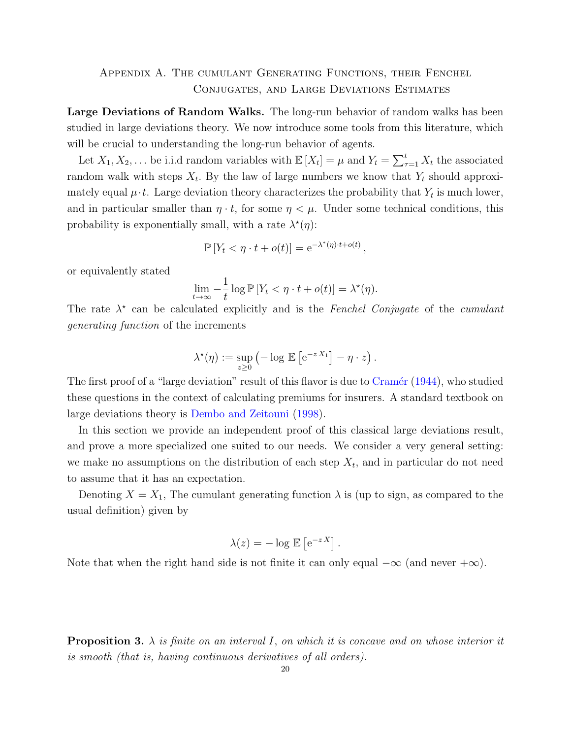# <span id="page-19-0"></span>Appendix A. The cumulant Generating Functions, their Fenchel Conjugates, and Large Deviations Estimates

Large Deviations of Random Walks. The long-run behavior of random walks has been studied in large deviations theory. We now introduce some tools from this literature, which will be crucial to understanding the long-run behavior of agents.

Let  $X_1, X_2, \ldots$  be i.i.d random variables with  $\mathbb{E}[X_t] = \mu$  and  $Y_t = \sum_{\tau=1}^t X_t$  the associated random walk with steps  $X_t$ . By the law of large numbers we know that  $Y_t$  should approximately equal  $\mu \cdot t$ . Large deviation theory characterizes the probability that  $Y_t$  is much lower, and in particular smaller than  $\eta \cdot t$ , for some  $\eta < \mu$ . Under some technical conditions, this probability is exponentially small, with a rate  $\lambda^*(\eta)$ :

$$
\mathbb{P}\left[Y_t < \eta \cdot t + o(t)\right] = e^{-\lambda^*(\eta) \cdot t + o(t)},
$$

or equivalently stated

$$
\lim_{t \to \infty} -\frac{1}{t} \log \mathbb{P} \left[ Y_t < \eta \cdot t + o(t) \right] = \lambda^*(\eta).
$$

The rate  $\lambda^*$  can be calculated explicitly and is the Fenchel Conjugate of the cumulant generating function of the increments

$$
\lambda^*(\eta) := \sup_{z \geq 0} \left( -\log \mathbb{E} \left[ e^{-z X_1} \right] - \eta \cdot z \right).
$$

The first proof of a "large deviation" result of this flavor is due to Cramér [\(1944\)](#page-17-13), who studied these questions in the context of calculating premiums for insurers. A standard textbook on large deviations theory is [Dembo and Zeitouni](#page-17-14) [\(1998\)](#page-17-14).

In this section we provide an independent proof of this classical large deviations result, and prove a more specialized one suited to our needs. We consider a very general setting: we make no assumptions on the distribution of each step  $X_t$ , and in particular do not need to assume that it has an expectation.

Denoting  $X = X_1$ , The cumulant generating function  $\lambda$  is (up to sign, as compared to the usual definition) given by

$$
\lambda(z) = -\log \mathbb{E}\left[e^{-z X}\right].
$$

Note that when the right hand side is not finite it can only equal  $-\infty$  (and never  $+\infty$ ).

<span id="page-19-1"></span>**Proposition 3.**  $\lambda$  is finite on an interval I, on which it is concave and on whose interior it is smooth (that is, having continuous derivatives of all orders).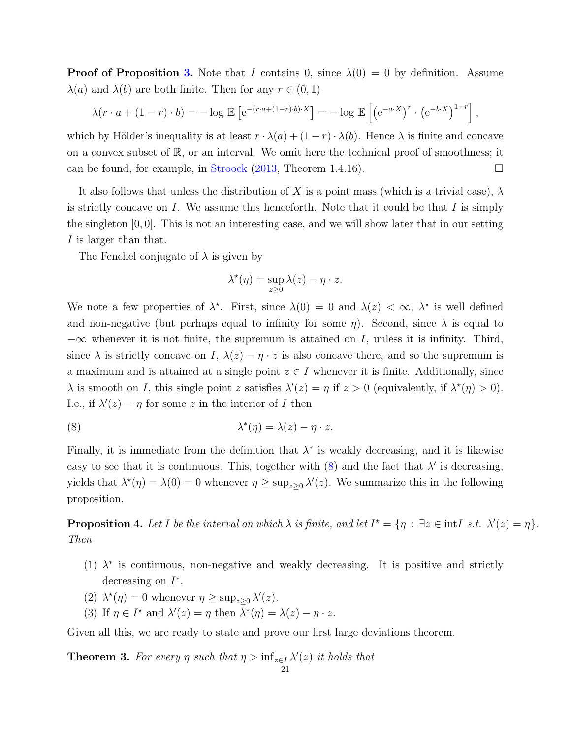**Proof of Proposition [3.](#page-19-1)** Note that I contains 0, since  $\lambda(0) = 0$  by definition. Assume  $\lambda(a)$  and  $\lambda(b)$  are both finite. Then for any  $r \in (0,1)$ 

$$
\lambda(r \cdot a + (1-r) \cdot b) = -\log \mathbb{E} \left[ e^{-(r \cdot a + (1-r) \cdot b) \cdot X} \right] = -\log \mathbb{E} \left[ \left( e^{-a \cdot X} \right)^r \cdot \left( e^{-b \cdot X} \right)^{1-r} \right],
$$

which by Hölder's inequality is at least  $r \cdot \lambda(a) + (1 - r) \cdot \lambda(b)$ . Hence  $\lambda$  is finite and concave on a convex subset of  $\mathbb{R}$ , or an interval. We omit here the technical proof of smoothness; it can be found, for example, in [Stroock](#page-18-10)  $(2013,$  Theorem 1.4.16).

It also follows that unless the distribution of X is a point mass (which is a trivial case),  $\lambda$ is strictly concave on I. We assume this henceforth. Note that it could be that I is simply the singleton  $[0, 0]$ . This is not an interesting case, and we will show later that in our setting I is larger than that.

The Fenchel conjugate of  $\lambda$  is given by

<span id="page-20-0"></span>
$$
\lambda^{\star}(\eta) = \sup_{z \geq 0} \lambda(z) - \eta \cdot z.
$$

We note a few properties of  $\lambda^*$ . First, since  $\lambda(0) = 0$  and  $\lambda(z) < \infty$ ,  $\lambda^*$  is well defined and non-negative (but perhaps equal to infinity for some  $\eta$ ). Second, since  $\lambda$  is equal to  $-\infty$  whenever it is not finite, the supremum is attained on I, unless it is infinity. Third, since  $\lambda$  is strictly concave on I,  $\lambda(z) - \eta \cdot z$  is also concave there, and so the supremum is a maximum and is attained at a single point  $z \in I$  whenever it is finite. Additionally, since  $\lambda$  is smooth on I, this single point z satisfies  $\lambda'(z) = \eta$  if  $z > 0$  (equivalently, if  $\lambda^*(\eta) > 0$ ). I.e., if  $\lambda'(z) = \eta$  for some z in the interior of I then

(8) 
$$
\lambda^*(\eta) = \lambda(z) - \eta \cdot z.
$$

Finally, it is immediate from the definition that  $\lambda^*$  is weakly decreasing, and it is likewise easy to see that it is continuous. This, together with  $(8)$  and the fact that  $\lambda'$  is decreasing, yields that  $\lambda^*(\eta) = \lambda(0) = 0$  whenever  $\eta \ge \sup_{z \ge 0} \lambda'(z)$ . We summarize this in the following proposition.

<span id="page-20-2"></span>**Proposition 4.** Let I be the interval on which  $\lambda$  is finite, and let  $I^* = \{\eta : \exists z \in \text{int}I \ s.t. \ \lambda'(z) = \eta\}.$ Then

- (1)  $\lambda^*$  is continuous, non-negative and weakly decreasing. It is positive and strictly decreasing on  $I^*$ .
- (2)  $\lambda^*(\eta) = 0$  whenever  $\eta \ge \sup_{z \ge 0} \lambda'(z)$ .
- (3) If  $\eta \in I^*$  and  $\lambda'(z) = \eta$  then  $\lambda^*(\eta) = \lambda(z) \eta \cdot z$ .

Given all this, we are ready to state and prove our first large deviations theorem.

<span id="page-20-1"></span>**Theorem 3.** For every  $\eta$  such that  $\eta > \inf_{z \in I} \lambda'(z)$  it holds that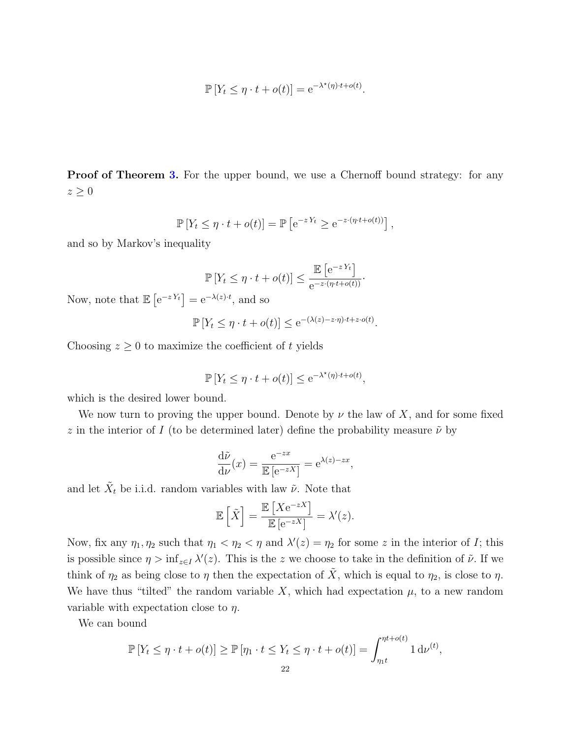$$
\mathbb{P}\left[Y_t \leq \eta \cdot t + o(t)\right] = e^{-\lambda^{\star}(\eta) \cdot t + o(t)}.
$$

**Proof of Theorem [3.](#page-20-1)** For the upper bound, we use a Chernoff bound strategy: for any  $z \geq 0$ 

$$
\mathbb{P}\left[Y_t \leq \eta \cdot t + o(t)\right] = \mathbb{P}\left[e^{-zY_t} \geq e^{-z \cdot (\eta \cdot t + o(t))}\right],
$$

and so by Markov's inequality

$$
\mathbb{P}\left[Y_t \leq \eta \cdot t + o(t)\right] \leq \frac{\mathbb{E}\left[e^{-zY_t}\right]}{e^{-z \cdot (\eta \cdot t + o(t))}}.
$$

Now, note that  $\mathbb{E}\left[e^{-zY_t}\right] = e^{-\lambda(z)\cdot t}$ , and so

$$
\mathbb{P}\left[Y_t \le \eta \cdot t + o(t)\right] \le e^{-(\lambda(z) - z \cdot \eta) \cdot t + z \cdot o(t)}
$$

.

Choosing  $z \geq 0$  to maximize the coefficient of t yields

$$
\mathbb{P}\left[Y_t \le \eta \cdot t + o(t)\right] \le e^{-\lambda^{\star}(\eta) \cdot t + o(t)},
$$

which is the desired lower bound.

We now turn to proving the upper bound. Denote by  $\nu$  the law of X, and for some fixed z in the interior of I (to be determined later) define the probability measure  $\tilde{\nu}$  by

$$
\frac{\mathrm{d}\tilde{\nu}}{\mathrm{d}\nu}(x) = \frac{\mathrm{e}^{-zx}}{\mathbb{E}\left[\mathrm{e}^{-zX}\right]} = \mathrm{e}^{\lambda(z)-zx},
$$

and let  $\tilde{X}_t$  be i.i.d. random variables with law  $\tilde{\nu}$ . Note that

$$
\mathbb{E}\left[\tilde{X}\right] = \frac{\mathbb{E}\left[Xe^{-zX}\right]}{\mathbb{E}\left[e^{-zX}\right]} = \lambda'(z).
$$

Now, fix any  $\eta_1, \eta_2$  such that  $\eta_1 < \eta_2 < \eta$  and  $\lambda'(z) = \eta_2$  for some z in the interior of I; this is possible since  $\eta > \inf_{z \in I} \lambda'(z)$ . This is the z we choose to take in the definition of  $\tilde{\nu}$ . If we think of  $\eta_2$  as being close to  $\eta$  then the expectation of  $\tilde{X}$ , which is equal to  $\eta_2$ , is close to  $\eta$ . We have thus "tilted" the random variable X, which had expectation  $\mu$ , to a new random variable with expectation close to  $\eta$ .

We can bound

$$
\mathbb{P}\left[Y_t \leq \eta \cdot t + o(t)\right] \geq \mathbb{P}\left[\eta_1 \cdot t \leq Y_t \leq \eta \cdot t + o(t)\right] = \int_{\eta_1 t}^{\eta t + o(t)} 1 \, \mathrm{d}\nu^{(t)},
$$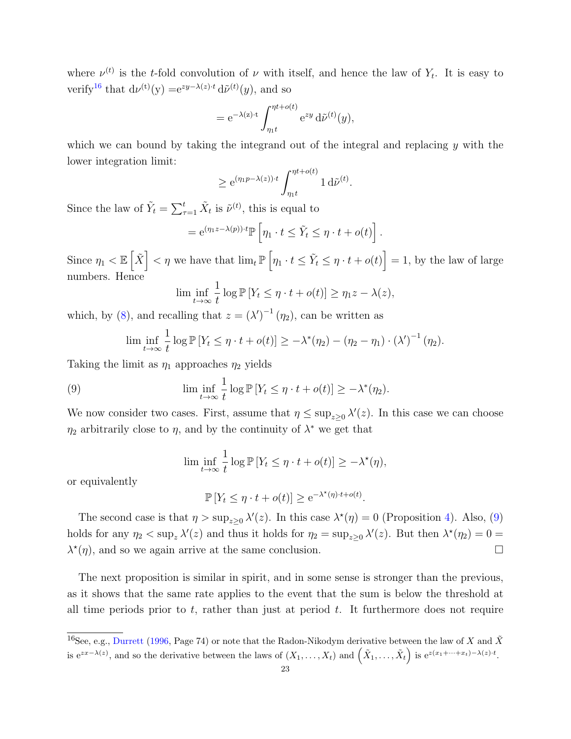where  $\nu^{(t)}$  is the t-fold convolution of  $\nu$  with itself, and hence the law of  $Y_t$ . It is easy to verify<sup>[16](#page-22-0)</sup> that  $d\nu^{(t)}(y) = e^{zy-\lambda(z)t} d\tilde{\nu}^{(t)}(y)$ , and so

$$
= e^{-\lambda(z)\cdot t} \int_{\eta_1 t}^{\eta t + o(t)} e^{zy} d\tilde{\nu}^{(t)}(y),
$$

which we can bound by taking the integrand out of the integral and replacing y with the lower integration limit:

$$
\geq e^{(\eta_1 p - \lambda(z)) \cdot t} \int_{\eta_1 t}^{\eta t + o(t)} 1 d\tilde{\nu}^{(t)}.
$$

Since the law of  $\tilde{Y}_t = \sum_{\tau=1}^t \tilde{X}_t$  is  $\tilde{\nu}^{(t)}$ , this is equal to

$$
= e^{(\eta_1 z - \lambda(p)) \cdot t} \mathbb{P}\left[\eta_1 \cdot t \leq \tilde{Y}_t \leq \eta \cdot t + o(t)\right].
$$

Since  $\eta_1 < \mathbb{E} \left[ \tilde{X} \right] < \eta$  we have that  $\lim_{t \to \infty} \mathbb{P} \left[ \eta_1 \cdot t \leq \tilde{Y}_t \leq \eta \cdot t + o(t) \right] = 1$ , by the law of large numbers. Hence

$$
\liminf_{t \to \infty} \frac{1}{t} \log \mathbb{P} \left[ Y_t \le \eta \cdot t + o(t) \right] \ge \eta_1 z - \lambda(z),
$$

which, by [\(8\)](#page-20-0), and recalling that  $z = (\lambda')^{-1} (\eta_2)$ , can be written as

<span id="page-22-1"></span>
$$
\liminf_{t\to\infty}\frac{1}{t}\log\mathbb{P}\left[Y_t\leq \eta\cdot t + o(t)\right] \geq -\lambda^*(\eta_2) - (\eta_2-\eta_1)\cdot (\lambda')^{-1}(\eta_2).
$$

Taking the limit as  $\eta_1$  approaches  $\eta_2$  yields

(9) 
$$
\liminf_{t \to \infty} \frac{1}{t} \log \mathbb{P}[Y_t \leq \eta \cdot t + o(t)] \geq -\lambda^*(\eta_2).
$$

We now consider two cases. First, assume that  $\eta \leq \sup_{z \geq 0} \lambda'(z)$ . In this case we can choose  $\eta_2$  arbitrarily close to  $\eta$ , and by the continuity of  $\lambda^*$  we get that

$$
\liminf_{t \to \infty} \frac{1}{t} \log \mathbb{P} \left[ Y_t \le \eta \cdot t + o(t) \right] \ge -\lambda^*(\eta),
$$

or equivalently

$$
\mathbb{P}\left[Y_t \leq \eta \cdot t + o(t)\right] \geq e^{-\lambda^{\star}(\eta) \cdot t + o(t)}.
$$

The second case is that  $\eta > \sup_{z \geq 0} \lambda'(z)$ . In this case  $\lambda^*(\eta) = 0$  (Proposition [4\)](#page-20-2). Also, [\(9\)](#page-22-1) holds for any  $\eta_2 < \sup_z \lambda'(z)$  and thus it holds for  $\eta_2 = \sup_{z \geq 0} \lambda'(z)$ . But then  $\lambda^*(\eta_2) = 0$  $\lambda^*(\eta)$ , and so we again arrive at the same conclusion.

The next proposition is similar in spirit, and in some sense is stronger than the previous, as it shows that the same rate applies to the event that the sum is below the threshold at all time periods prior to  $t$ , rather than just at period  $t$ . It furthermore does not require

<span id="page-22-0"></span><sup>&</sup>lt;sup>16</sup>See, e.g., [Durrett](#page-17-16) [\(1996,](#page-17-16) Page 74) or note that the Radon-Nikodym derivative between the law of X and  $\tilde{X}$ is  $e^{zx-\lambda(z)}$ , and so the derivative between the laws of  $(X_1,\ldots,X_t)$  and  $(\tilde{X}_1,\ldots,\tilde{X}_t)$  is  $e^{z(x_1+\cdots+x_t)-\lambda(z)\cdot t}$ .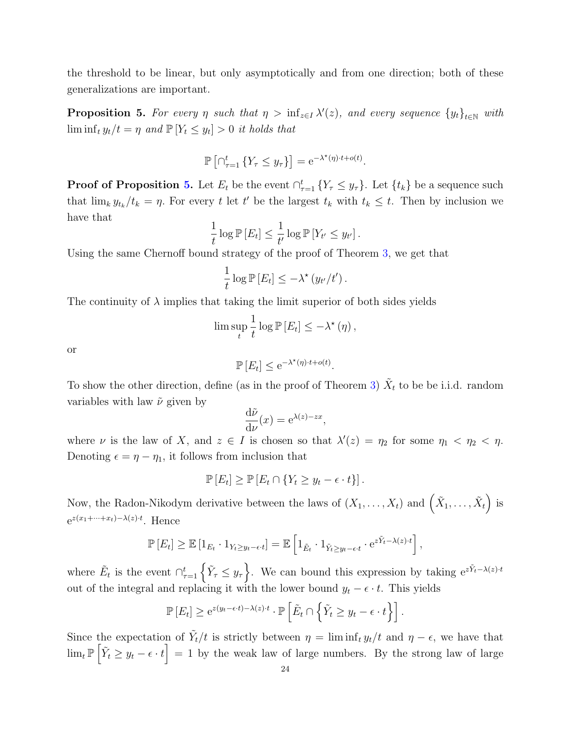the threshold to be linear, but only asymptotically and from one direction; both of these generalizations are important.

<span id="page-23-0"></span>**Proposition 5.** For every  $\eta$  such that  $\eta > \inf_{z \in I} \lambda'(z)$ , and every sequence  $\{y_t\}_{t \in \mathbb{N}}$  with  $\liminf_t y_t/t = \eta$  and  $\mathbb{P}[Y_t \leq y_t] > 0$  it holds that

$$
\mathbb{P}\left[\cap_{\tau=1}^t \{Y_\tau \leq y_\tau\}\right] = e^{-\lambda^{\star}(\eta) \cdot t + o(t)}.
$$

**Proof of Proposition [5.](#page-23-0)** Let  $E_t$  be the event  $\bigcap_{\tau=1}^t \{Y_\tau \leq y_\tau\}$ . Let  $\{t_k\}$  be a sequence such that  $\lim_k y_{t_k}/t_k = \eta$ . For every t let t' be the largest  $t_k$  with  $t_k \leq t$ . Then by inclusion we have that

$$
\frac{1}{t}\log \mathbb{P}[E_t] \leq \frac{1}{t'}\log \mathbb{P}[Y_{t'} \leq y_{t'}].
$$

Using the same Chernoff bound strategy of the proof of Theorem [3,](#page-20-1) we get that

$$
\frac{1}{t}\log \mathbb{P}\left[E_t\right] \leq -\lambda^{\star}\left(y_{t'}/t'\right).
$$

The continuity of  $\lambda$  implies that taking the limit superior of both sides yields

$$
\lim \sup_{t} \frac{1}{t} \log \mathbb{P} [E_t] \leq -\lambda^*(\eta),
$$

or

$$
\mathbb{P}\left[E_t\right] \le \mathrm{e}^{-\lambda^{\star}(\eta) \cdot t + o(t)}.
$$

To show the other direction, define (as in the proof of Theorem [3\)](#page-20-1)  $\tilde{X}_t$  to be be i.i.d. random variables with law  $\tilde{\nu}$  given by

$$
\frac{\mathrm{d}\tilde{\nu}}{\mathrm{d}\nu}(x) = \mathrm{e}^{\lambda(z) - zx},
$$

where  $\nu$  is the law of X, and  $z \in I$  is chosen so that  $\lambda'(z) = \eta_2$  for some  $\eta_1 < \eta_2 < \eta$ . Denoting  $\epsilon = \eta - \eta_1$ , it follows from inclusion that

$$
\mathbb{P}[E_t] \ge \mathbb{P}[E_t \cap \{Y_t \ge y_t - \epsilon \cdot t\}].
$$

Now, the Radon-Nikodym derivative between the laws of  $(X_1, \ldots, X_t)$  and  $(\tilde{X}_1, \ldots, \tilde{X}_t)$  is  $e^{z(x_1+\cdots+x_t)-\lambda(z)\cdot t}$ . Hence

$$
\mathbb{P}[E_t] \geq \mathbb{E}[1_{E_t} \cdot 1_{Y_t \geq y_t - \epsilon \cdot t}] = \mathbb{E}\left[1_{\tilde{E}_t} \cdot 1_{\tilde{Y}_t \geq y_t - \epsilon \cdot t} \cdot e^{z\tilde{Y}_t - \lambda(z) \cdot t}\right],
$$

where  $\tilde{E}_t$  is the event  $\bigcap_{\tau=1}^t {\{\tilde{Y}_\tau \leq y_\tau\}}$ . We can bound this expression by taking  $e^{z\tilde{Y}_t - \lambda(z)\cdot t}$ out of the integral and replacing it with the lower bound  $y_t - \epsilon \cdot t$ . This yields

$$
\mathbb{P}\left[E_t\right] \geq e^{z(y_t - \epsilon \cdot t) - \lambda(z) \cdot t} \cdot \mathbb{P}\left[\tilde{E}_t \cap \left\{\tilde{Y}_t \geq y_t - \epsilon \cdot t\right\}\right].
$$

Since the expectation of  $\tilde{Y}_t/t$  is strictly between  $\eta = \liminf_t y_t/t$  and  $\eta - \epsilon$ , we have that  $\lim_{t \to \infty} \left| \tilde{Y}_t \geq y_t - \epsilon \cdot t \right| = 1$  by the weak law of large numbers. By the strong law of large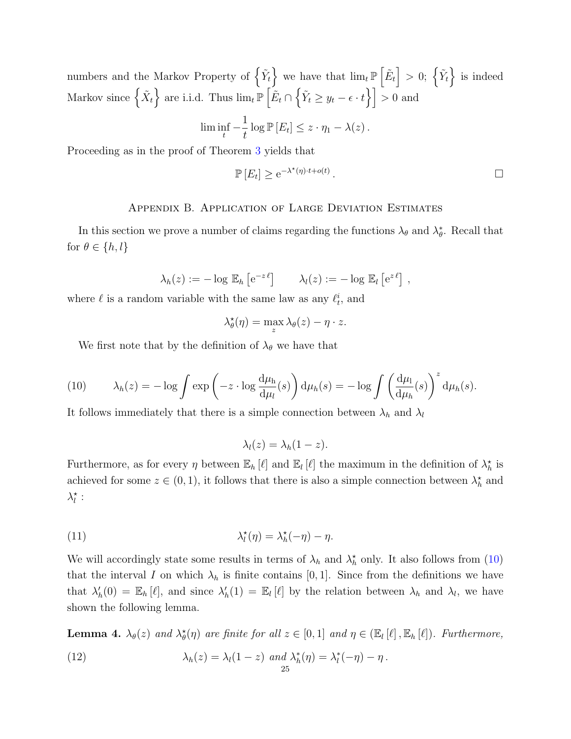numbers and the Markov Property of  $\left\{ \tilde{Y}_t \right\}$  we have that  $\lim_{t \to \infty} \left\{ \tilde{E}_t \right\} > 0$ ;  $\left\{ \tilde{Y}_t \right\}$  is indeed Markov since  $\left\{ \tilde{X}_t \right\}$  are i.i.d. Thus  $\lim_{t \to \infty} \mathbb{P}\left[ \tilde{E}_t \cap \left\{ \tilde{Y}_t \geq y_t - \epsilon \cdot t \right\} \right] > 0$  and 1

$$
\liminf_{t} -\frac{1}{t} \log \mathbb{P}[E_t] \leq z \cdot \eta_1 - \lambda(z).
$$

Proceeding as in the proof of Theorem [3](#page-20-1) yields that

$$
\mathbb{P}\left[E_t\right] \geq e^{-\lambda^{\star}(\eta)\cdot t + o(t)}.
$$

### Appendix B. Application of Large Deviation Estimates

In this section we prove a number of claims regarding the functions  $\lambda_{\theta}$  and  $\lambda_{\theta}^{*}$ . Recall that for  $\theta \in \{h, l\}$ 

$$
\lambda_h(z) := -\log \mathbb{E}_h \left[ e^{-z \ell} \right] \qquad \lambda_l(z) := -\log \mathbb{E}_l \left[ e^{z \ell} \right],
$$

where  $\ell$  is a random variable with the same law as any  $\ell_t^i$ , and

$$
\lambda_{\theta}^{\star}(\eta) = \max_{z} \lambda_{\theta}(z) - \eta \cdot z.
$$

We first note that by the definition of  $\lambda_{\theta}$  we have that

<span id="page-24-0"></span>(10) 
$$
\lambda_h(z) = -\log \int \exp\left(-z \cdot \log \frac{d\mu_h}{d\mu_l}(s)\right) d\mu_h(s) = -\log \int \left(\frac{d\mu_l}{d\mu_h}(s)\right)^z d\mu_h(s).
$$

It follows immediately that there is a simple connection between  $\lambda_h$  and  $\lambda_l$ 

 $\lambda_l(z) = \lambda_h(1-z).$ 

Furthermore, as for every  $\eta$  between  $\mathbb{E}_h[\ell]$  and  $\mathbb{E}_l[\ell]$  the maximum in the definition of  $\lambda_h^*$  is achieved for some  $z \in (0, 1)$ , it follows that there is also a simple connection between  $\lambda_h^*$  and  $\lambda_l^{\star}$  :

(11) 
$$
\lambda_l^{\star}(\eta) = \lambda_h^{\star}(-\eta) - \eta.
$$

We will accordingly state some results in terms of  $\lambda_h$  and  $\lambda_h^*$  only. It also follows from [\(10\)](#page-24-0) that the interval I on which  $\lambda_h$  is finite contains [0, 1]. Since from the definitions we have that  $\lambda'_h(0) = \mathbb{E}_h[\ell],$  and since  $\lambda'_h(1) = \mathbb{E}_l[\ell]$  by the relation between  $\lambda_h$  and  $\lambda_l$ , we have shown the following lemma.

<span id="page-24-2"></span><span id="page-24-1"></span>**Lemma 4.**  $\lambda_{\theta}(z)$  and  $\lambda_{\theta}^{\star}(\eta)$  are finite for all  $z \in [0,1]$  and  $\eta \in (\mathbb{E}_{l}[\ell], \mathbb{E}_{h}[\ell])$ . Furthermore, (12)  $\lambda_h(z) = \lambda_l(1-z) \text{ and } \lambda_h^*(\eta) = \lambda_l^*(-\eta) - \eta.$ 25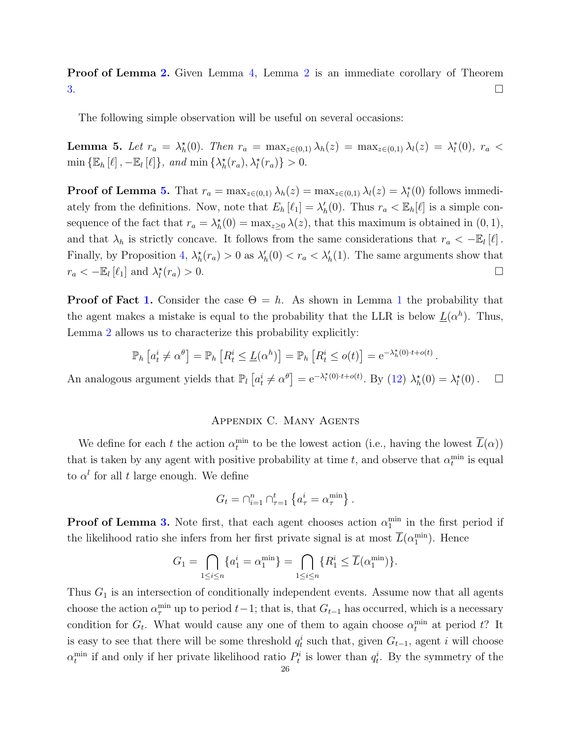Proof of Lemma [2.](#page-12-1) Given Lemma [4,](#page-24-1) Lemma [2](#page-12-1) is an immediate corollary of Theorem  $3.$ 

The following simple observation will be useful on several occasions:

<span id="page-25-1"></span>**Lemma 5.** Let  $r_a = \lambda_h^*(0)$ . Then  $r_a = \max_{z \in (0,1)} \lambda_h(z) = \max_{z \in (0,1)} \lambda_l(z) = \lambda_l^*(0)$ ,  $r_a <$  $\min \{\mathbb{E}_h[\ell], -\mathbb{E}_l[\ell]\}, \text{ and } \min \{\lambda_h^{\star}(r_a), \lambda_l^{\star}(r_a)\} > 0.$ 

**Proof of Lemma [5.](#page-25-1)** That  $r_a = \max_{z \in (0,1)} \lambda_h(z) = \max_{z \in (0,1)} \lambda_l(z) = \lambda_l^*(0)$  follows immediately from the definitions. Now, note that  $E_h[\ell_1] = \lambda'_h(0)$ . Thus  $r_a < \mathbb{E}_h[\ell]$  is a simple consequence of the fact that  $r_a = \lambda_h^*(0) = \max_{z \geq 0} \lambda(z)$ , that this maximum is obtained in  $(0, 1)$ , and that  $\lambda_h$  is strictly concave. It follows from the same considerations that  $r_a < -\mathbb{E}_l[\ell]$ . Finally, by Proposition [4,](#page-20-2)  $\lambda_h^*(r_a) > 0$  as  $\lambda_h'(0) < r_a < \lambda_h'(1)$ . The same arguments show that  $r_a < -\mathbb{E}_l [\ell_1]$  and  $\lambda_l^*$  $(r_a) > 0.$ 

**Proof of Fact [1.](#page-7-2)** Consider the case  $\Theta = h$ . As shown in Lemma [1](#page-10-1) the probability that the agent makes a mistake is equal to the probability that the LLR is below  $\underline{L}(\alpha^h)$ . Thus, Lemma [2](#page-12-1) allows us to characterize this probability explicitly:

$$
\mathbb{P}_h\left[a_t^i \neq \alpha^\theta\right] = \mathbb{P}_h\left[R_t^i \leq \underline{L}(\alpha^h)\right] = \mathbb{P}_h\left[R_t^i \leq o(t)\right] = e^{-\lambda_h^*(0) \cdot t + o(t)}.
$$

An analogous argument yields that  $\mathbb{P}_l\left[a_t^i \neq \alpha^{\theta}\right] = e^{-\lambda_l^*(0) \cdot t + o(t)}$ . By [\(12\)](#page-24-2)  $\lambda_h^*(0) = \lambda_l^*(0)$ .  $\Box$ 

# Appendix C. Many Agents

<span id="page-25-0"></span>We define for each t the action  $\alpha_t^{\min}$  to be the lowest action (i.e., having the lowest  $\overline{L}(\alpha)$ ) that is taken by any agent with positive probability at time t, and observe that  $\alpha_t^{\min}$  is equal to  $\alpha^l$  for all t large enough. We define

$$
G_t = \bigcap_{i=1}^n \bigcap_{\tau=1}^t \left\{ a^i_\tau = \alpha^{\min}_\tau \right\}.
$$

**Proof of Lemma [3.](#page-13-1)** Note first, that each agent chooses action  $\alpha_1^{\text{min}}$  in the first period if the likelihood ratio she infers from her first private signal is at most  $\overline{L}(\alpha_1^{\text{min}})$ . Hence

$$
G_1 = \bigcap_{1 \leq i \leq n} \{a_1^i = \alpha_1^{\min} \} = \bigcap_{1 \leq i \leq n} \{R_1^i \leq \overline{L}(\alpha_1^{\min}) \}.
$$

Thus  $G_1$  is an intersection of conditionally independent events. Assume now that all agents choose the action  $\alpha_{\tau}^{\min}$  up to period  $t-1$ ; that is, that  $G_{t-1}$  has occurred, which is a necessary condition for  $G_t$ . What would cause any one of them to again choose  $\alpha_t^{\min}$  at period t? It is easy to see that there will be some threshold  $q_t^i$  such that, given  $G_{t-1}$ , agent i will choose  $\alpha_t^{\min}$  if and only if her private likelihood ratio  $P_t^i$  is lower than  $q_t^i$ . By the symmetry of the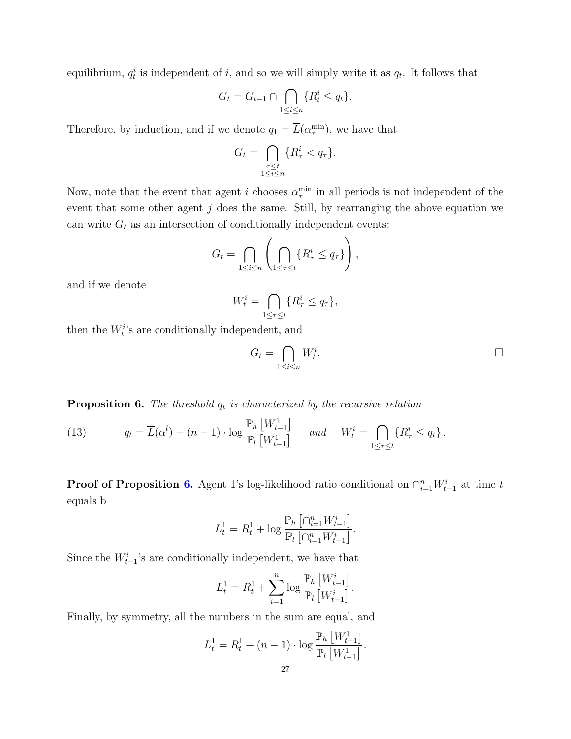equilibrium,  $q_t^i$  is independent of i, and so we will simply write it as  $q_t$ . It follows that

$$
G_t = G_{t-1} \cap \bigcap_{1 \le i \le n} \{ R_t^i \le q_t \}.
$$

Therefore, by induction, and if we denote  $q_1 = \overline{L}(\alpha_{\tau}^{\min})$ , we have that

$$
G_t = \bigcap_{\substack{\tau \le t \\ 1 \le i \le n}} \{R^i_\tau < q_\tau\}.
$$

Now, note that the event that agent *i* chooses  $\alpha_{\tau}^{\min}$  in all periods is not independent of the event that some other agent  $j$  does the same. Still, by rearranging the above equation we can write  $G_t$  as an intersection of conditionally independent events:

$$
G_t = \bigcap_{1 \le i \le n} \left( \bigcap_{1 \le \tau \le t} \{ R_\tau^i \le q_\tau \} \right),
$$

and if we denote

$$
W_t^i = \bigcap_{1 \leq \tau \leq t} \{ R_\tau^i \leq q_\tau \},
$$

then the  $W_t^i$ 's are conditionally independent, and

$$
G_t = \bigcap_{1 \le i \le n} W_t^i.
$$

<span id="page-26-0"></span>**Proposition 6.** The threshold  $q_t$  is characterized by the recursive relation

(13) 
$$
q_t = \overline{L}(\alpha^l) - (n-1) \cdot \log \frac{\mathbb{P}_h \left[W_{t-1}^1\right]}{\mathbb{P}_l \left[W_{t-1}^1\right]} \quad \text{and} \quad W_t^i = \bigcap_{1 \leq \tau \leq t} \{R_{\tau}^i \leq q_t\}.
$$

**Proof of Proposition [6.](#page-26-0)** Agent 1's log-likelihood ratio conditional on  $\bigcap_{i=1}^{n} W_{t-1}^{i}$  at time t equals b

$$
L_t^1 = R_t^1 + \log \frac{\mathbb{P}_h \left[ \bigcap_{i=1}^n W_{t-1}^i \right]}{\mathbb{P}_l \left[ \bigcap_{i=1}^n W_{t-1}^i \right]}.
$$

Since the  $W_{t-1}^i$ 's are conditionally independent, we have that

$$
L_t^1 = R_t^1 + \sum_{i=1}^n \log \frac{\mathbb{P}_h \left[ W_{t-1}^i \right]}{\mathbb{P}_l \left[ W_{t-1}^i \right]}.
$$

Finally, by symmetry, all the numbers in the sum are equal, and

$$
L_t^1 = R_t^1 + (n - 1) \cdot \log \frac{\mathbb{P}_h \left[ W_{t-1}^1 \right]}{\mathbb{P}_l \left[ W_{t-1}^1 \right]}.
$$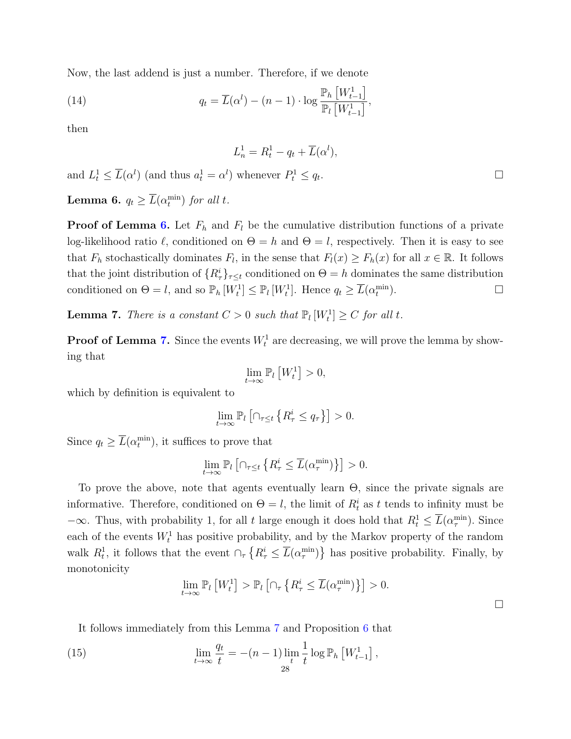Now, the last addend is just a number. Therefore, if we denote

(14) 
$$
q_t = \overline{L}(\alpha^l) - (n-1) \cdot \log \frac{\mathbb{P}_h \left[W_{t-1}^1\right]}{\mathbb{P}_l \left[W_{t-1}^1\right]},
$$

then

$$
L_n^1 = R_t^1 - q_t + \overline{L}(\alpha^l),
$$

and 
$$
L_t^1 \le \overline{L}(\alpha^l)
$$
 (and thus  $a_t^1 = \alpha^l$ ) whenever  $P_t^1 \le q_t$ .

<span id="page-27-1"></span>**Lemma 6.**  $q_t \geq \overline{L}(\alpha_t^{\min})$  for all t.

**Proof of Lemma [6.](#page-27-1)** Let  $F_h$  and  $F_l$  be the cumulative distribution functions of a private log-likelihood ratio  $\ell$ , conditioned on  $\Theta = h$  and  $\Theta = l$ , respectively. Then it is easy to see that  $F_h$  stochastically dominates  $F_l$ , in the sense that  $F_l(x) \geq F_h(x)$  for all  $x \in \mathbb{R}$ . It follows that the joint distribution of  $\{R^i_\tau\}_{\tau\leq t}$  conditioned on  $\Theta = h$  dominates the same distribution conditioned on  $\Theta = l$ , and so  $\mathbb{P}_h[W_t^1] \leq \mathbb{P}_l[W_t^1]$ . Hence  $q_t \geq \overline{L}(\alpha_t^{\min})$  $\Box$ 

<span id="page-27-0"></span>**Lemma 7.** There is a constant  $C > 0$  such that  $\mathbb{P}_l[W_t^1] \geq C$  for all t.

**Proof of Lemma [7.](#page-27-0)** Since the events  $W_t^1$  are decreasing, we will prove the lemma by showing that

$$
\lim_{t\to\infty} \mathbb{P}_l\left[W_t^1\right]>0,
$$

which by definition is equivalent to

$$
\lim_{t \to \infty} \mathbb{P}_l \left[ \cap_{\tau \le t} \left\{ R^i_{\tau} \le q_{\tau} \right\} \right] > 0.
$$

Since  $q_t \geq \overline{L}(\alpha_t^{\min})$ , it suffices to prove that

$$
\lim_{t \to \infty} \mathbb{P}_l \left[ \cap_{\tau \le t} \left\{ R^i_\tau \le \overline{L}(\alpha^{\min}_{\tau}) \right\} \right] > 0.
$$

To prove the above, note that agents eventually learn Θ, since the private signals are informative. Therefore, conditioned on  $\Theta = l$ , the limit of  $R_t^i$  as t tends to infinity must be  $-\infty$ . Thus, with probability 1, for all t large enough it does hold that  $R_t^1 \leq \overline{L}(\alpha_{\tau}^{\min})$ . Since each of the events  $W_t^1$  has positive probability, and by the Markov property of the random walk  $R_t^1$ , it follows that the event  $\cap_{\tau} \{R_{\tau}^i \leq \overline{L}(\alpha_{\tau}^{\min})\}$  has positive probability. Finally, by monotonicity

<span id="page-27-2"></span>
$$
\lim_{t \to \infty} \mathbb{P}_l \left[ W_t^1 \right] > \mathbb{P}_l \left[ \cap_\tau \left\{ R_\tau^i \le \overline{L}(\alpha_\tau^{\min}) \right\} \right] > 0.
$$

 $\Box$ 

It follows immediately from this Lemma [7](#page-27-0) and Proposition [6](#page-26-0) that

(15) 
$$
\lim_{t \to \infty} \frac{q_t}{t} = -(n-1) \lim_{t \to 0} \frac{1}{t} \log \mathbb{P}_h \left[ W_{t-1}^1 \right],
$$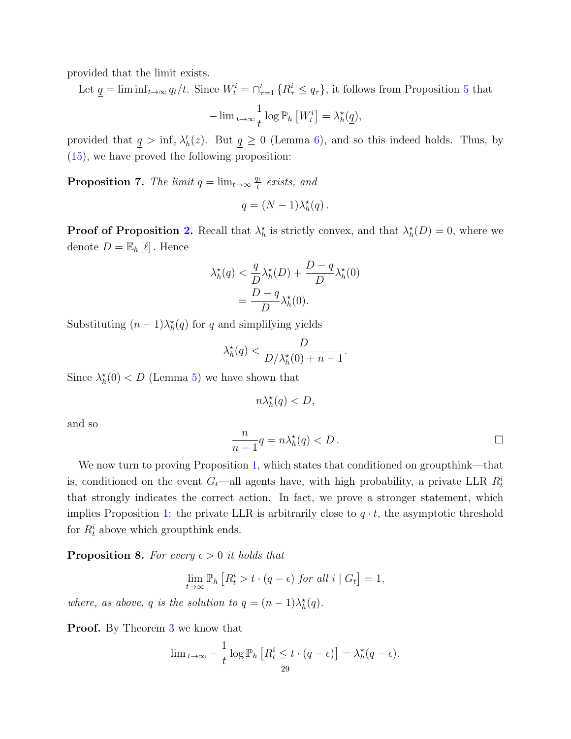provided that the limit exists.

Let  $\underline{q} = \liminf_{t \to \infty} q_t/t$ . Since  $W_t^i = \bigcap_{\tau=1}^t \{R_{\tau}^i \leq q_{\tau}\}\$ , it follows from Proposition [5](#page-23-0) that 1

$$
-\lim_{t\to\infty}\frac{1}{t}\log\mathbb{P}_h\left[W_t^i\right]=\lambda_h^{\star}(\underline{q}),
$$

provided that  $q > \inf_z \lambda'_h(z)$ . But  $q \ge 0$  (Lemma [6\)](#page-27-1), and so this indeed holds. Thus, by [\(15\)](#page-27-2), we have proved the following proposition:

<span id="page-28-0"></span>**Proposition 7.** The limit  $q = \lim_{t \to \infty} \frac{q_t}{t}$  $\frac{dt}{t}$  exists, and

$$
q = (N-1)\lambda_h^*(q).
$$

**Proof of Proposition [2.](#page-16-0)** Recall that  $\lambda_h^*$  is strictly convex, and that  $\lambda_h^*(D) = 0$ , where we denote  $D = \mathbb{E}_h [\ell]$ . Hence

$$
\lambda_h^{\star}(q) < \frac{q}{D} \lambda_h^{\star}(D) + \frac{D-q}{D} \lambda_h^{\star}(0) \\ = \frac{D-q}{D} \lambda_h^{\star}(0).
$$

Substituting  $(n-1)\lambda_h^{\star}(q)$  for q and simplifying yields

$$
\lambda_h^{\star}(q) < \frac{D}{D/\lambda_h^{\star}(0) + n - 1}.
$$

Since  $\lambda_h^*(0) < D$  (Lemma [5\)](#page-25-1) we have shown that

$$
n\lambda_h^{\star}(q) < D,
$$

and so

$$
\frac{n}{n-1}q = n\lambda_h^{\star}(q) < D \, .
$$

We now turn to proving Proposition [1,](#page-9-1) which states that conditioned on groupthink—that is, conditioned on the event  $G_t$ —all agents have, with high probability, a private LLR  $R_t^i$ that strongly indicates the correct action. In fact, we prove a stronger statement, which implies Proposition [1:](#page-9-1) the private LLR is arbitrarily close to  $q \cdot t$ , the asymptotic threshold for  $R_t^i$  above which groupthink ends.

**Proposition 8.** For every  $\epsilon > 0$  it holds that

$$
\lim_{t \to \infty} \mathbb{P}_h \left[ R_t^i > t \cdot (q - \epsilon) \text{ for all } i \mid G_t \right] = 1,
$$

where, as above, q is the solution to  $q = (n-1)\lambda_h^{\star}(q)$ .

**Proof.** By Theorem [3](#page-20-1) we know that

$$
\lim_{t \to \infty} -\frac{1}{t} \log \mathbb{P}_h \left[ R_t^i \le t \cdot (q - \epsilon) \right] = \lambda_h^{\star}(q - \epsilon).
$$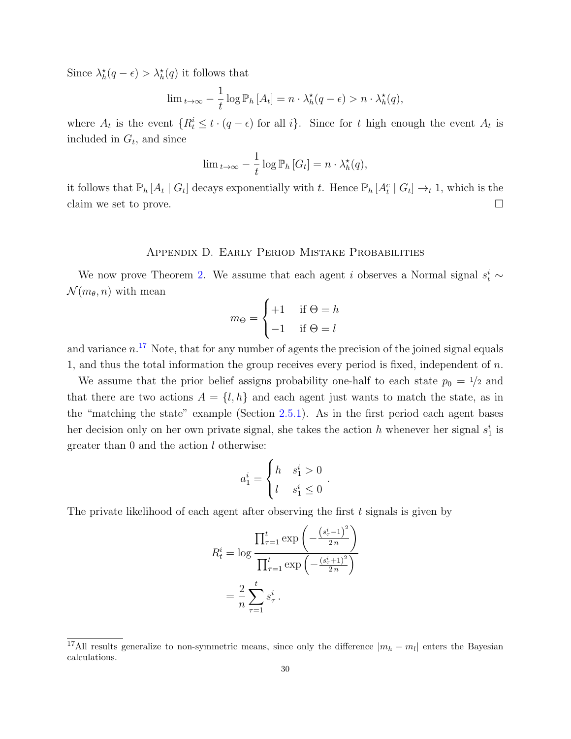Since  $\lambda_h^{\star}(q - \epsilon) > \lambda_h^{\star}(q)$  it follows that

$$
\lim_{t \to \infty} -\frac{1}{t} \log \mathbb{P}_h \left[ A_t \right] = n \cdot \lambda_h^{\star}(q - \epsilon) > n \cdot \lambda_h^{\star}(q),
$$

where  $A_t$  is the event  $\{R_t^i \leq t \cdot (q - \epsilon) \text{ for all } i\}$ . Since for t high enough the event  $A_t$  is included in  $G_t$ , and since

$$
\lim_{t \to \infty} -\frac{1}{t} \log \mathbb{P}_h \left[ G_t \right] = n \cdot \lambda_h^{\star}(q),
$$

it follows that  $\mathbb{P}_h [A_t | G_t]$  decays exponentially with t. Hence  $\mathbb{P}_h [A_t^c | G_t] \to_t 1$ , which is the claim we set to prove.  $\Box$ 

## Appendix D. Early Period Mistake Probabilities

We now prove Theorem [2.](#page-9-2) We assume that each agent i observes a Normal signal  $s_t^i$  ~  $\mathcal{N}(m_{\theta}, n)$  with mean

$$
m_{\Theta} = \begin{cases} +1 & \text{if } \Theta = h \\ -1 & \text{if } \Theta = l \end{cases}
$$

and variance  $n<sup>17</sup>$  $n<sup>17</sup>$  $n<sup>17</sup>$  Note, that for any number of agents the precision of the joined signal equals 1, and thus the total information the group receives every period is fixed, independent of  $n$ .

We assume that the prior belief assigns probability one-half to each state  $p_0 = \frac{1}{2}$  and that there are two actions  $A = \{l, h\}$  and each agent just wants to match the state, as in the "matching the state" example (Section [2.5.1\)](#page-6-0). As in the first period each agent bases her decision only on her own private signal, she takes the action h whenever her signal  $s_1^i$  is greater than 0 and the action l otherwise:

$$
a_1^i = \begin{cases} h & s_1^i > 0 \\ l & s_1^i \le 0 \end{cases}
$$

.

The private likelihood of each agent after observing the first  $t$  signals is given by

$$
R_t^i = \log \frac{\prod_{\tau=1}^t \exp\left(-\frac{(s_{\tau}^i - 1)^2}{2n}\right)}{\prod_{\tau=1}^t \exp\left(-\frac{(s_{\tau}^i + 1)^2}{2n}\right)}
$$

$$
= \frac{2}{n} \sum_{\tau=1}^t s_{\tau}^i.
$$

<span id="page-29-0"></span><sup>&</sup>lt;sup>17</sup>All results generalize to non-symmetric means, since only the difference  $|m_h - m_l|$  enters the Bayesian calculations.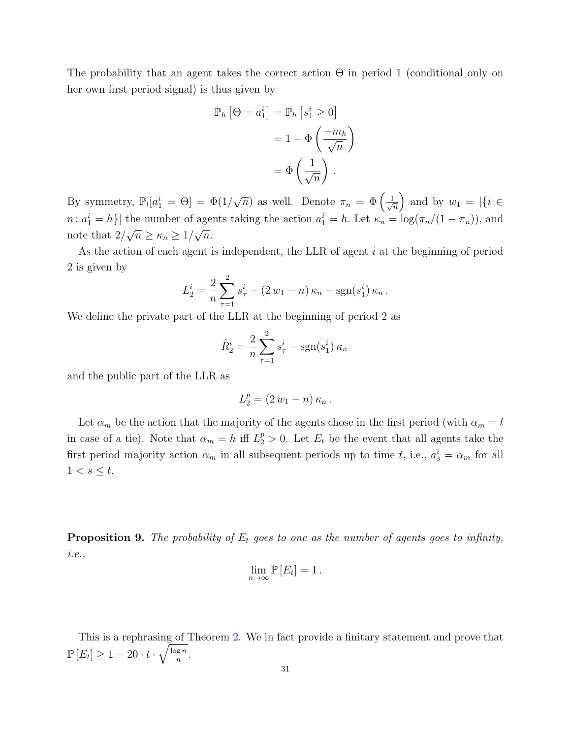The probability that an agent takes the correct action  $\Theta$  in period 1 (conditional only on her own first period signal) is thus given by

$$
\mathbb{P}_h \left[ \Theta = a_1^i \right] = \mathbb{P}_h \left[ s_1^i \ge 0 \right]
$$

$$
= 1 - \Phi \left( \frac{-m_h}{\sqrt{n}} \right)
$$

$$
= \Phi \left( \frac{1}{\sqrt{n}} \right).
$$

By symmetry,  $\mathbb{P}_l[a_1^i = \Theta] = \Phi(1)$  $\sqrt{n}$  as well. Denote  $\pi_n = \Phi\left(\frac{1}{\sqrt{n}}\right)$  $\frac{1}{\overline{n}}$  and by  $w_1 = |\{i \in$  $n: a_1^i = h$  the number of agents taking the action  $a_1^i = h$ . Let  $\kappa_n = \log(\pi_n/(1 - \pi_n))$ , and note that  $2/\sqrt{n} \ge \kappa_n \ge 1/\sqrt{n}$ .

As the action of each agent is independent, the LLR of agent  $i$  at the beginning of period 2 is given by

$$
L_2^i = \frac{2}{n} \sum_{\tau=1}^2 s_{\tau}^i - (2 w_1 - n) \kappa_n - \text{sgn}(s_1^i) \kappa_n.
$$

We define the private part of the LLR at the beginning of period 2 as

$$
\hat{R}_2^i = \frac{2}{n} \sum_{\tau=1}^2 s_{\tau}^i - \text{sgn}(s_1^i) \,\kappa_n
$$

and the public part of the LLR as

$$
L_2^p = (2 w_1 - n) \kappa_n.
$$

Let  $\alpha_m$  be the action that the majority of the agents chose in the first period (with  $\alpha_m = l$ in case of a tie). Note that  $\alpha_m = h$  iff  $L_2^p > 0$ . Let  $E_t$  be the event that all agents take the first period majority action  $\alpha_m$  in all subsequent periods up to time t, i.e.,  $a_s^i = \alpha_m$  for all  $1 < s \leq t$ .

<span id="page-30-0"></span>**Proposition 9.** The probability of  $E_t$  goes to one as the number of agents goes to infinity, i.e.,

$$
\lim_{n\to\infty}\mathbb{P}\left[E_t\right]=1.
$$

This is a rephrasing of Theorem [2.](#page-9-2) We in fact provide a finitary statement and prove that  $\mathbb{P}\left[E_{t}\right]\geq1-20\cdot t\cdot\sqrt{\frac{\log n}{n}}$  $\frac{\log n}{n}$ .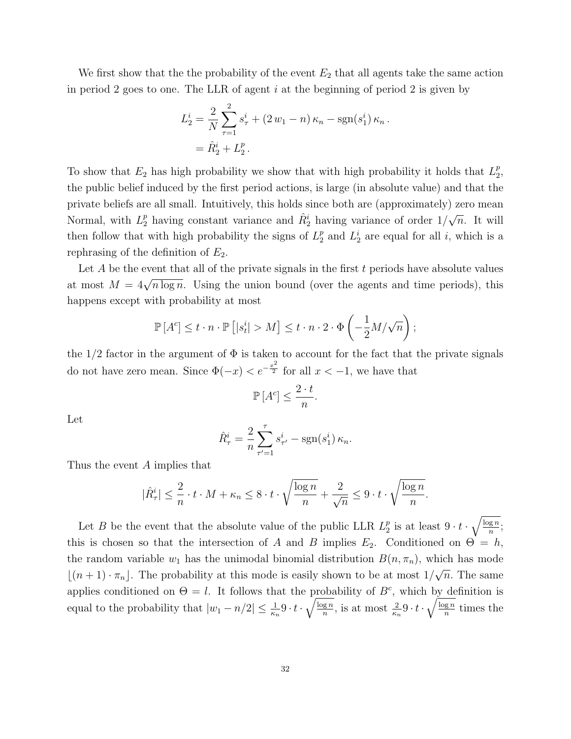We first show that the the probability of the event  $E_2$  that all agents take the same action in period 2 goes to one. The LLR of agent  $i$  at the beginning of period 2 is given by

$$
L_2^i = \frac{2}{N} \sum_{\tau=1}^2 s_{\tau}^i + (2 w_1 - n) \kappa_n - \text{sgn}(s_1^i) \kappa_n
$$
  
=  $\hat{R}_2^i + L_2^p$ .

To show that  $E_2$  has high probability we show that with high probability it holds that  $L_2^p$  $\frac{p}{2}$ the public belief induced by the first period actions, is large (in absolute value) and that the private beliefs are all small. Intuitively, this holds since both are (approximately) zero mean Normal, with  $L_2^p$  having constant variance and  $\hat{R}_2^i$  having variance of order  $1/$ √  $\overline{n}$ . It will then follow that with high probability the signs of  $L_2^p$  $_2^p$  and  $L_2^i$  are equal for all i, which is a rephrasing of the definition of  $E_2$ .

Let  $A$  be the event that all of the private signals in the first  $t$  periods have absolute values at most  $M = 4\sqrt{n \log n}$ . Using the union bound (over the agents and time periods), this happens except with probability at most

$$
\mathbb{P}\left[A^c\right] \leq t \cdot n \cdot \mathbb{P}\left[|s_t^i| > M\right] \leq t \cdot n \cdot 2 \cdot \Phi\left(-\frac{1}{2}M/\sqrt{n}\right);
$$

the  $1/2$  factor in the argument of  $\Phi$  is taken to account for the fact that the private signals do not have zero mean. Since  $\Phi(-x) < e^{-\frac{x^2}{2}}$  for all  $x < -1$ , we have that

$$
\mathbb{P}\left[A^c\right] \le \frac{2 \cdot t}{n}
$$

.

Let

$$
\hat{R}_{\tau}^{i} = \frac{2}{n} \sum_{\tau'=1}^{\tau} s_{\tau'}^{i} - \text{sgn}(s_{1}^{i}) \kappa_{n}.
$$

Thus the event A implies that

$$
|\hat{R}^i_\tau| \leq \frac{2}{n} \cdot t \cdot M + \kappa_n \leq 8 \cdot t \cdot \sqrt{\frac{\log n}{n}} + \frac{2}{\sqrt{n}} \leq 9 \cdot t \cdot \sqrt{\frac{\log n}{n}}.
$$

Let B be the event that the absolute value of the public LLR  $L_2^p$  $\frac{p}{2}$  is at least  $9 \cdot t \cdot \sqrt{\frac{\log n}{n}}$  $\frac{\lg n}{n};$ this is chosen so that the intersection of A and B implies  $E_2$ . Conditioned on  $\Theta = h$ , the random variable  $w_1$  has the unimodal binomial distribution  $B(n, \pi_n)$ , which has mode  $\lfloor (n + 1) \cdot \pi_n \rfloor$ . The probability at this mode is easily shown to be at most 1/ √  $\overline{n}$ . The same applies conditioned on  $\Theta = l$ . It follows that the probability of  $B^c$ , which by definition is equal to the probability that  $|w_1 - n/2| \leq \frac{1}{\kappa_n} 9 \cdot t \cdot \sqrt{\frac{\log n}{n}}$  $\frac{\overline{gn}}{n}$ , is at most  $\frac{2}{\kappa_n} 9 \cdot t \cdot \sqrt{\frac{\log n}{n}}$  $\frac{1}{n}$  times the